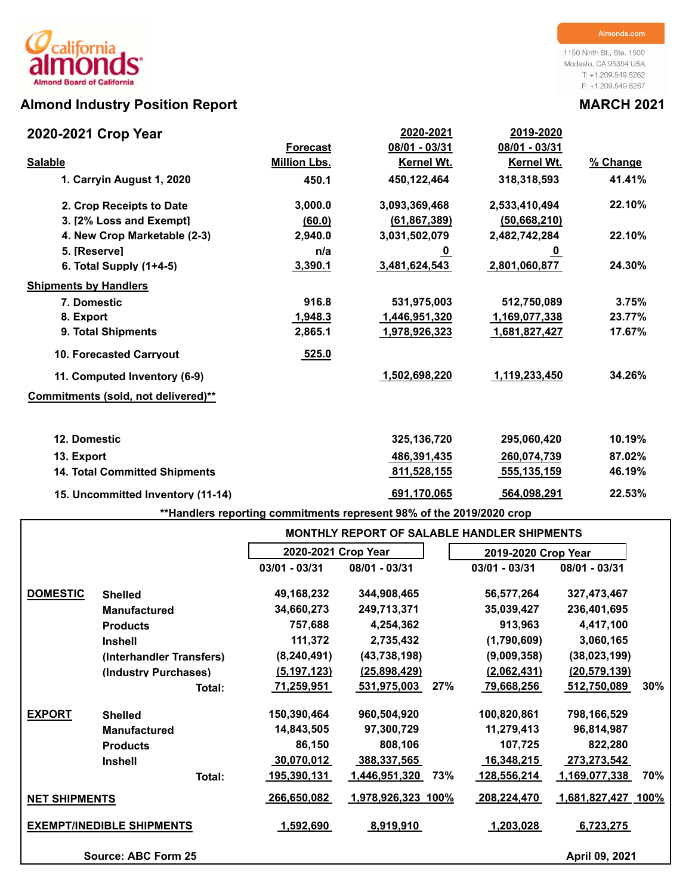# **Almond Industry Position Report MARCH 2021**

1150 Ninth St., Ste. 1500 Modesto, CA 95354 USA T: +1.209.549.8262 F: +1.209.549.8267

| 2020-2021 Crop Year                  |                     | 2020-2021      | 2019-2020      |          |
|--------------------------------------|---------------------|----------------|----------------|----------|
|                                      | <b>Forecast</b>     | 08/01 - 03/31  | 08/01 - 03/31  |          |
| <b>Salable</b>                       | <b>Million Lbs.</b> | Kernel Wt.     | Kernel Wt.     | % Change |
| 1. Carryin August 1, 2020            | 450.1               | 450,122,464    | 318,318,593    | 41.41%   |
| 2. Crop Receipts to Date             | 3,000.0             | 3,093,369,468  | 2,533,410,494  | 22.10%   |
| 3. [2% Loss and Exempt]              | (60.0)              | (61, 867, 389) | (50, 668, 210) |          |
| 4. New Crop Marketable (2-3)         | 2,940.0             | 3,031,502,079  | 2,482,742,284  | 22.10%   |
| 5. [Reserve]                         | n/a                 | <u>_0</u>      | <u>_0</u>      |          |
| 6. Total Supply $(1+4-5)$            | 3,390.1             | 3,481,624,543  | 2,801,060,877  | 24.30%   |
| <b>Shipments by Handlers</b>         |                     |                |                |          |
| 7. Domestic                          | 916.8               | 531,975,003    | 512,750,089    | 3.75%    |
| 8. Export                            | 1,948.3             | 1,446,951,320  | 1,169,077,338  | 23.77%   |
| 9. Total Shipments                   | 2,865.1             | 1,978,926,323  | 1,681,827,427  | 17.67%   |
| <b>10. Forecasted Carryout</b>       | 525.0               |                |                |          |
| 11. Computed Inventory (6-9)         |                     | 1,502,698,220  | 1,119,233,450  | 34.26%   |
| Commitments (sold, not delivered)**  |                     |                |                |          |
| 12. Domestic                         |                     | 325, 136, 720  | 295,060,420    | 10.19%   |
| 13. Export                           |                     | 486,391,435    | 260,074,739    | 87.02%   |
| <b>14. Total Committed Shipments</b> |                     | 811,528,155    | 555,135,159    | 46.19%   |
| 15. Uncommitted Inventory (11-14)    |                     | 691,170,065    | 564,098,291    | 22.53%   |

**\*\*Handlers reporting commitments represent 98% of the 2019/2020 crop**

|                      |                                  | <b>MONTHLY REPORT OF SALABLE HANDLER SHIPMENTS</b> |                           |     |                     |                    |     |  |  |  |  |  |
|----------------------|----------------------------------|----------------------------------------------------|---------------------------|-----|---------------------|--------------------|-----|--|--|--|--|--|
|                      |                                  | 2020-2021 Crop Year                                |                           |     | 2019-2020 Crop Year |                    |     |  |  |  |  |  |
|                      |                                  | 03/01 - 03/31                                      | 08/01 - 03/31             |     | 03/01 - 03/31       | 08/01 - 03/31      |     |  |  |  |  |  |
| <b>DOMESTIC</b>      | <b>Shelled</b>                   | 49,168,232                                         | 344,908,465               |     | 56,577,264          | 327,473,467        |     |  |  |  |  |  |
|                      | <b>Manufactured</b>              | 34,660,273                                         | 249,713,371               |     | 35,039,427          | 236,401,695        |     |  |  |  |  |  |
|                      | <b>Products</b>                  | 757,688                                            | 4,254,362                 |     | 913,963             | 4,417,100          |     |  |  |  |  |  |
|                      | <b>Inshell</b>                   | 111,372                                            | 2,735,432                 |     | (1,790,609)         | 3,060,165          |     |  |  |  |  |  |
|                      | (Interhandler Transfers)         | (8, 240, 491)                                      | (43, 738, 198)            |     | (9,009,358)         | (38,023,199)       |     |  |  |  |  |  |
|                      | (Industry Purchases)             | (5, 197, 123)                                      | (25,898,429)              |     | (2,062,431)         | (20, 579, 139)     |     |  |  |  |  |  |
|                      | Total:                           | <u>71,259,951</u>                                  | 531,975,003               | 27% | 79,668,256          | 512,750,089        | 30% |  |  |  |  |  |
| <b>EXPORT</b>        | <b>Shelled</b>                   | 150,390,464                                        | 960,504,920               |     | 100,820,861         | 798,166,529        |     |  |  |  |  |  |
|                      | <b>Manufactured</b>              | 14,843,505                                         | 97,300,729                |     | 11,279,413          | 96,814,987         |     |  |  |  |  |  |
|                      | <b>Products</b>                  | 86,150                                             | 808,106                   |     | 107,725             | 822,280            |     |  |  |  |  |  |
|                      | <b>Inshell</b>                   | 30,070,012                                         | 388,337,565               |     | 16,348,215          | 273,273,542        |     |  |  |  |  |  |
|                      | Total:                           | <u>195,390,131</u>                                 | 1,446,951,320             | 73% | 128,556,214         | 1,169,077,338      | 70% |  |  |  |  |  |
| <b>NET SHIPMENTS</b> |                                  | 266,650,082                                        | <u>1,978,926,323 100%</u> |     | 208,224,470         | 1,681,827,427 100% |     |  |  |  |  |  |
|                      | <b>EXEMPT/INEDIBLE SHIPMENTS</b> | 1,592,690                                          | 8,919,910                 |     | 1,203,028           | 6,723,275          |     |  |  |  |  |  |
|                      | Source: ABC Form 25              |                                                    |                           |     |                     | April 09, 2021     |     |  |  |  |  |  |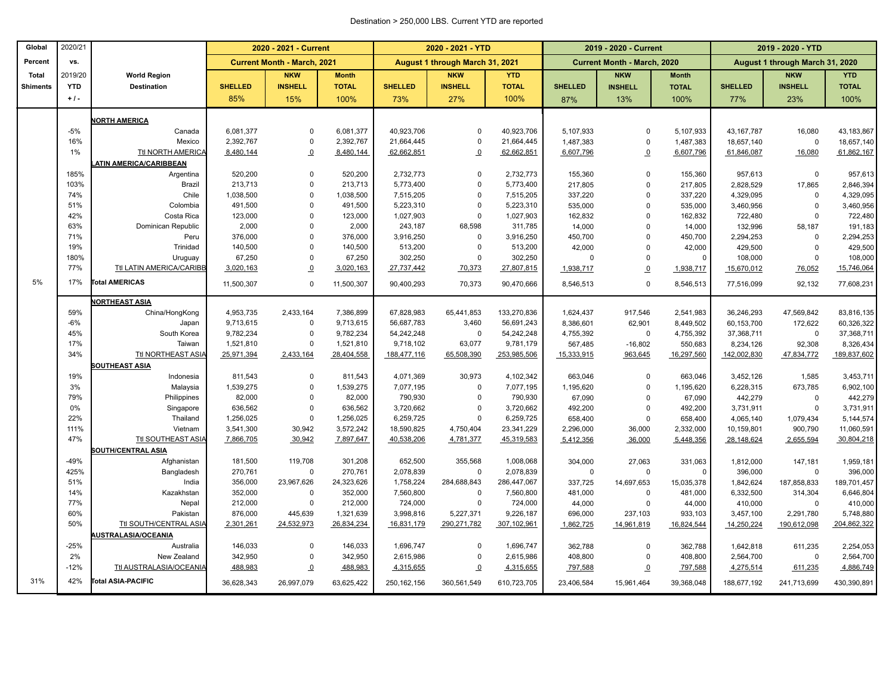#### Destination > 250,000 LBS. Current YTD are reported

| Percent<br>vs.<br><b>Current Month - March, 2021</b><br>August 1 through March 31, 2021<br><b>Current Month - March, 2020</b><br>August 1 through March 31, 2020<br>2019/20<br><b>NKW</b><br><b>Month</b><br><b>NKW</b><br><b>YTD</b><br><b>NKW</b><br><b>NKW</b><br><b>Total</b><br><b>World Region</b><br><b>Month</b><br><b>INSHELL</b><br><b>TOTAL</b><br><b>TOTAL</b><br><b>INSHELL</b><br><b>INSHELL</b><br><b>YTD</b><br><b>Destination</b><br><b>SHELLED</b><br><b>SHELLED</b><br><b>INSHELL</b><br><b>SHELLED</b><br><b>TOTAL</b><br><b>SHELLED</b><br><b>Shiments</b><br>$+1-$<br>85%<br>15%<br>100%<br>73%<br>27%<br>100%<br>13%<br>100%<br>77%<br>23%<br>87%<br><b>NORTH AMERICA</b><br>$-5%$<br>6,081,377<br>40,923,706<br>40,923,706<br>5,107,933<br>5,107,933<br>43, 167, 787<br>Canada<br>6,081,377<br>$\mathbf 0$<br>$\Omega$<br>$\Omega$<br>16,080<br>16%<br>2,392,767<br>21,664,445<br>2,392,767<br>$\mathbf 0$<br>21,664,445<br>0<br>1,487,383<br>0<br>1,487,383<br>18,657,140<br>$\Omega$<br>Mexico<br>Ttl NORTH AMERICA<br>1%<br>8,480,144<br>$\overline{0}$<br>8,480,144<br>62,662,851<br>$\overline{0}$<br>62,662,851<br>6,607,796<br>6,607,796<br>$\Omega$<br>61,846,087<br>16,080<br>ATIN AMERICA/CARIBBEAN<br>$\mathbf 0$<br>185%<br>520,200<br>2,732,773<br>2,732,773<br>Argentina<br>520,200<br>$\Omega$<br>155,360<br>$\Omega$<br>155,360<br>957,613<br>$\Omega$<br>103%<br>$\mathbf 0$<br>213,713<br>5,773,400<br>$\mathbf 0$<br><b>Brazil</b><br>213,713<br>5,773,400<br>217,805<br>$\mathbf 0$<br>17,865<br>217,805<br>2,828,529<br>74%<br>Chile<br>1,038,500<br>$\mathbf 0$<br>1,038,500<br>7,515,205<br>7,515,205<br>337,220<br>$\Omega$<br>337,220<br>4,329,095<br>$\Omega$<br>$\Omega$<br>51%<br>$\mathbf 0$<br>491,500<br>491,500<br>5,223,310<br>$\Omega$<br>5,223,310<br>535,000<br>$\Omega$<br>$\Omega$<br>Colombia<br>535,000<br>3,460,956<br>42%<br>123,000<br>$\mathbf 0$<br>Costa Rica<br>123,000<br>1,027,903<br>0<br>1,027,903<br>162,832<br>$\Omega$<br>162,832<br>722,480<br>$\Omega$<br>63%<br>2,000<br>$\overline{0}$<br>2,000<br>68,598<br>311,785<br>14,000<br>132,996<br>Dominican Republic<br>243,187<br>$\mathbf 0$<br>14,000<br>58,187<br>71%<br>Peru<br>376,000<br>$\overline{0}$<br>376,000<br>3,916,250<br>$\mathsf 0$<br>3,916,250<br>450,700<br>$\Omega$<br>450,700<br>2,294,253<br>$\Omega$<br>19%<br>140,500<br>$\Omega$<br>Trinidad<br>140,500<br>513,200<br>$\mathbf 0$<br>513,200<br>42,000<br>42,000<br>$\Omega$<br>429,500<br>$\Omega$<br>180%<br>$\mathbf 0$<br>67,250<br>302,250<br>302,250<br>$\Omega$<br>67,250<br>$\mathbf 0$<br>$\Omega$<br>$\Omega$<br>$\Omega$<br>108,000<br>Uruguay<br>77%<br>Ttl LATIN AMERICA/CARIBB<br>3,020,163<br>70,373<br>27,807,815<br>$\overline{0}$<br>3,020,163<br>27,737,442<br>1,938,717<br>$\overline{0}$<br>1,938,717<br>15,670,012<br>76,052<br>5%<br>17%<br><b>Total AMERICAS</b><br>$\mathbf 0$<br>11,500,307<br>70,373<br>90,470,666<br>11,500,307<br>90,400,293<br>8,546,513<br>$\Omega$<br>8,546,513<br>77,516,099<br>92.132<br><b>NORTHEAST ASIA</b><br>59%<br>China/HongKong<br>4,953,735<br>2,433,164<br>7,386,899<br>67,828,983<br>65,441,853<br>133,270,836<br>1,624,437<br>917,546<br>2,541,983<br>36,246,293<br>47,569,842<br>$-6%$<br>62,901<br>9,713,615<br>$\mathbf 0$<br>9,713,615<br>56,687,783<br>3,460<br>56,691,243<br>8,386,601<br>60,153,700<br>172,622<br>Japan<br>8,449,502<br>45%<br>South Korea<br>9,782,234<br>$\mathbf 0$<br>9,782,234<br>54,242,248<br>$\mathbf 0$<br>54,242,248<br>37,368,711<br>4,755,392<br>$\mathbf 0$<br>4,755,392<br>$\mathbf 0$<br>17%<br>$\mathbf 0$<br>9,781,179<br>Taiwan<br>1,521,810<br>1,521,810<br>9,718,102<br>63,077<br>567,485<br>$-16,802$<br>550,683<br>8,234,126<br>92,308<br>253,985,506<br>34%<br>Ttl NORTHEAST ASIA<br>25,971,394<br>2,433,164<br>28,404,558<br>188,477,116<br>65,508,390<br>15,333,915<br>963,645<br>16,297,560<br>142,002,830<br>47,834,772<br><b>SOUTHEAST ASIA</b><br>$\mathbf 0$<br>811,543<br>30,973<br>4,102,342<br>663,046<br>663,046<br>19%<br>Indonesia<br>811,543<br>4,071,369<br>0<br>3,452,126<br>1,585<br>3%<br>Malaysia<br>1,539,275<br>$\overline{0}$<br>1,539,275<br>$\mathsf 0$<br>7,077,195<br>7,077,195<br>1,195,620<br>$\mathsf 0$<br>1,195,620<br>6,228,315<br>673,785<br>82,000<br>82,000<br>790,930<br>790,930<br>79%<br>Philippines<br>$\mathbf 0$<br>$\mathbf 0$<br>67,090<br>$\Omega$<br>67,090<br>442,279<br>$\Omega$<br>0%<br>$\mathbf 0$<br>636,562<br>492,200<br>$\mathbf 0$<br>3,731,911<br>Singapore<br>636,562<br>3,720,662<br>$\Omega$<br>3,720,662<br>492,200<br>$\Omega$<br>22%<br>1,256,025<br>$\mathbf 0$<br>1,256,025<br>6,259,725<br>6,259,725<br>$\pmb{0}$<br>Thailand<br>0<br>658,400<br>658,400<br>4,065,140<br>1,079,434<br>111%<br>3,541,300<br>30,942<br>3,572,242<br>18,590,825<br>4,750,404<br>23,341,229<br>Vietnam<br>2,296,000<br>36,000<br>2,332,000<br>10,159,801<br>900,790<br>47%<br>Ttl SOUTHEAST ASIA<br>7,897,647<br>4,781,377<br>45,319,583<br>7,866,705<br>30,942<br>40,538,206<br>5,412,356<br>36,000<br>5,448,356<br>28,148,624<br>2,655,594<br>SOUTH/CENTRAL ASIA<br>$-49%$<br>119,708<br>652,500<br>355,568<br>Afghanistan<br>181,500<br>301,208<br>1,008,068<br>304,000<br>27,063<br>331,063<br>147.181<br>1,812,000<br>425%<br>270,761<br>$\Omega$<br>270,761<br>2,078,839<br>$\mathbf 0$<br>2,078,839<br>396,000<br>Bangladesh<br>$\mathbf 0$<br>$\mathbf 0$<br>$\Omega$<br>$\Omega$<br>51%<br>23,967,626<br>24,323,626<br>284,688,843<br>286,447,067<br>India<br>356,000<br>1,758,224<br>337,725<br>14,697,653<br>15,035,378<br>1,842,624<br>187,858,833<br>14%<br>352,000<br>Kazakhstan<br>352,000<br>$\mathbf 0$<br>7,560,800<br>$\mathbf 0$<br>7,560,800<br>481,000<br>$\mathbf 0$<br>481,000<br>6,332,500<br>314,304<br>$\mathbf 0$<br>77%<br>Nepal<br>212,000<br>212,000<br>724,000<br>$\mathbf 0$<br>724,000<br>44,000<br>$\Omega$<br>44,000<br>410,000<br>$\Omega$<br>60%<br>876,000<br>445,639<br>1,321,639<br>3,998,816<br>5,227,371<br>9,226,187<br>Pakistan<br>696,000<br>237,103<br>933,103<br>3,457,100<br>2,291,780<br>50%<br>Ttl SOUTH/CENTRAL ASIA<br>2,301,261<br>24,532,973<br>26,834,234<br>16,831,179<br>290,271,782<br>307,102,961<br>1,862,725<br>14,961,819<br>16,824,544<br>14,250,224<br>190,612,098<br><b>AUSTRALASIA/OCEANIA</b><br>$-25%$<br>Australia<br>146,033<br>$\mathbf 0$<br>146,033<br>1,696,747<br>$\Omega$<br>1,696,747<br>362,788<br>$\Omega$<br>362,788<br>1,642,818<br>611,235<br>2%<br>$\mathbf 0$<br>New Zealand<br>342,950<br>342,950<br>2,615,986<br>0<br>2,615,986<br>$\mathbf 0$<br>408,800<br>408,800<br>2,564,700<br>$\Omega$<br>$-12%$<br>Ttl AUSTRALASIA/OCEANIA<br>488,983<br>797,588<br>488,983<br>$\Omega$<br>4,315,655<br>$\Omega$<br>4,315,655<br>797,588<br>$\overline{0}$<br>4,275,514<br>611,235 | Global | 2020/21 | 2020 - 2021 - Current |  |  | 2020 - 2021 - YTD |  |  | 2019 - 2020 - Current |  |  | 2019 - 2020 - YTD |  |              |
|------------------------------------------------------------------------------------------------------------------------------------------------------------------------------------------------------------------------------------------------------------------------------------------------------------------------------------------------------------------------------------------------------------------------------------------------------------------------------------------------------------------------------------------------------------------------------------------------------------------------------------------------------------------------------------------------------------------------------------------------------------------------------------------------------------------------------------------------------------------------------------------------------------------------------------------------------------------------------------------------------------------------------------------------------------------------------------------------------------------------------------------------------------------------------------------------------------------------------------------------------------------------------------------------------------------------------------------------------------------------------------------------------------------------------------------------------------------------------------------------------------------------------------------------------------------------------------------------------------------------------------------------------------------------------------------------------------------------------------------------------------------------------------------------------------------------------------------------------------------------------------------------------------------------------------------------------------------------------------------------------------------------------------------------------------------------------------------------------------------------------------------------------------------------------------------------------------------------------------------------------------------------------------------------------------------------------------------------------------------------------------------------------------------------------------------------------------------------------------------------------------------------------------------------------------------------------------------------------------------------------------------------------------------------------------------------------------------------------------------------------------------------------------------------------------------------------------------------------------------------------------------------------------------------------------------------------------------------------------------------------------------------------------------------------------------------------------------------------------------------------------------------------------------------------------------------------------------------------------------------------------------------------------------------------------------------------------------------------------------------------------------------------------------------------------------------------------------------------------------------------------------------------------------------------------------------------------------------------------------------------------------------------------------------------------------------------------------------------------------------------------------------------------------------------------------------------------------------------------------------------------------------------------------------------------------------------------------------------------------------------------------------------------------------------------------------------------------------------------------------------------------------------------------------------------------------------------------------------------------------------------------------------------------------------------------------------------------------------------------------------------------------------------------------------------------------------------------------------------------------------------------------------------------------------------------------------------------------------------------------------------------------------------------------------------------------------------------------------------------------------------------------------------------------------------------------------------------------------------------------------------------------------------------------------------------------------------------------------------------------------------------------------------------------------------------------------------------------------------------------------------------------------------------------------------------------------------------------------------------------------------------------------------------------------------------------------------------------------------------------------------------------------------------------------------------------------------------------------------------------------------------------------------------------------------------------------------------------------------------------------------------------------------------------------------------------------------------------------------------------------------------------------------------------------------------------------------------------------------------------------------------------------------------------------------------------------------------------------------------------------------------------------------------------------------------------------------------------------------------------------------------------------------------------------------------------------------------------------------------------------------------------------------------------------------------------------------------------------------------------------------------------------------------------------------------------------------------------------------------------------------------------------------------------------------------------------------------------------------------------------------------------------------------------------------------------------------------------------------------------------------------------------------------------------------------------------------|--------|---------|-----------------------|--|--|-------------------|--|--|-----------------------|--|--|-------------------|--|--------------|
|                                                                                                                                                                                                                                                                                                                                                                                                                                                                                                                                                                                                                                                                                                                                                                                                                                                                                                                                                                                                                                                                                                                                                                                                                                                                                                                                                                                                                                                                                                                                                                                                                                                                                                                                                                                                                                                                                                                                                                                                                                                                                                                                                                                                                                                                                                                                                                                                                                                                                                                                                                                                                                                                                                                                                                                                                                                                                                                                                                                                                                                                                                                                                                                                                                                                                                                                                                                                                                                                                                                                                                                                                                                                                                                                                                                                                                                                                                                                                                                                                                                                                                                                                                                                                                                                                                                                                                                                                                                                                                                                                                                                                                                                                                                                                                                                                                                                                                                                                                                                                                                                                                                                                                                                                                                                                                                                                                                                                                                                                                                                                                                                                                                                                                                                                                                                                                                                                                                                                                                                                                                                                                                                                                                                                                                                                                                                                                                                                                                                                                                                                                                                                                                                                                                                                                                                                                    |        |         |                       |  |  |                   |  |  |                       |  |  |                   |  |              |
|                                                                                                                                                                                                                                                                                                                                                                                                                                                                                                                                                                                                                                                                                                                                                                                                                                                                                                                                                                                                                                                                                                                                                                                                                                                                                                                                                                                                                                                                                                                                                                                                                                                                                                                                                                                                                                                                                                                                                                                                                                                                                                                                                                                                                                                                                                                                                                                                                                                                                                                                                                                                                                                                                                                                                                                                                                                                                                                                                                                                                                                                                                                                                                                                                                                                                                                                                                                                                                                                                                                                                                                                                                                                                                                                                                                                                                                                                                                                                                                                                                                                                                                                                                                                                                                                                                                                                                                                                                                                                                                                                                                                                                                                                                                                                                                                                                                                                                                                                                                                                                                                                                                                                                                                                                                                                                                                                                                                                                                                                                                                                                                                                                                                                                                                                                                                                                                                                                                                                                                                                                                                                                                                                                                                                                                                                                                                                                                                                                                                                                                                                                                                                                                                                                                                                                                                                                    |        |         |                       |  |  |                   |  |  |                       |  |  |                   |  | <b>YTD</b>   |
|                                                                                                                                                                                                                                                                                                                                                                                                                                                                                                                                                                                                                                                                                                                                                                                                                                                                                                                                                                                                                                                                                                                                                                                                                                                                                                                                                                                                                                                                                                                                                                                                                                                                                                                                                                                                                                                                                                                                                                                                                                                                                                                                                                                                                                                                                                                                                                                                                                                                                                                                                                                                                                                                                                                                                                                                                                                                                                                                                                                                                                                                                                                                                                                                                                                                                                                                                                                                                                                                                                                                                                                                                                                                                                                                                                                                                                                                                                                                                                                                                                                                                                                                                                                                                                                                                                                                                                                                                                                                                                                                                                                                                                                                                                                                                                                                                                                                                                                                                                                                                                                                                                                                                                                                                                                                                                                                                                                                                                                                                                                                                                                                                                                                                                                                                                                                                                                                                                                                                                                                                                                                                                                                                                                                                                                                                                                                                                                                                                                                                                                                                                                                                                                                                                                                                                                                                                    |        |         |                       |  |  |                   |  |  |                       |  |  |                   |  | <b>TOTAL</b> |
|                                                                                                                                                                                                                                                                                                                                                                                                                                                                                                                                                                                                                                                                                                                                                                                                                                                                                                                                                                                                                                                                                                                                                                                                                                                                                                                                                                                                                                                                                                                                                                                                                                                                                                                                                                                                                                                                                                                                                                                                                                                                                                                                                                                                                                                                                                                                                                                                                                                                                                                                                                                                                                                                                                                                                                                                                                                                                                                                                                                                                                                                                                                                                                                                                                                                                                                                                                                                                                                                                                                                                                                                                                                                                                                                                                                                                                                                                                                                                                                                                                                                                                                                                                                                                                                                                                                                                                                                                                                                                                                                                                                                                                                                                                                                                                                                                                                                                                                                                                                                                                                                                                                                                                                                                                                                                                                                                                                                                                                                                                                                                                                                                                                                                                                                                                                                                                                                                                                                                                                                                                                                                                                                                                                                                                                                                                                                                                                                                                                                                                                                                                                                                                                                                                                                                                                                                                    |        |         |                       |  |  |                   |  |  |                       |  |  |                   |  | 100%         |
|                                                                                                                                                                                                                                                                                                                                                                                                                                                                                                                                                                                                                                                                                                                                                                                                                                                                                                                                                                                                                                                                                                                                                                                                                                                                                                                                                                                                                                                                                                                                                                                                                                                                                                                                                                                                                                                                                                                                                                                                                                                                                                                                                                                                                                                                                                                                                                                                                                                                                                                                                                                                                                                                                                                                                                                                                                                                                                                                                                                                                                                                                                                                                                                                                                                                                                                                                                                                                                                                                                                                                                                                                                                                                                                                                                                                                                                                                                                                                                                                                                                                                                                                                                                                                                                                                                                                                                                                                                                                                                                                                                                                                                                                                                                                                                                                                                                                                                                                                                                                                                                                                                                                                                                                                                                                                                                                                                                                                                                                                                                                                                                                                                                                                                                                                                                                                                                                                                                                                                                                                                                                                                                                                                                                                                                                                                                                                                                                                                                                                                                                                                                                                                                                                                                                                                                                                                    |        |         |                       |  |  |                   |  |  |                       |  |  |                   |  |              |
|                                                                                                                                                                                                                                                                                                                                                                                                                                                                                                                                                                                                                                                                                                                                                                                                                                                                                                                                                                                                                                                                                                                                                                                                                                                                                                                                                                                                                                                                                                                                                                                                                                                                                                                                                                                                                                                                                                                                                                                                                                                                                                                                                                                                                                                                                                                                                                                                                                                                                                                                                                                                                                                                                                                                                                                                                                                                                                                                                                                                                                                                                                                                                                                                                                                                                                                                                                                                                                                                                                                                                                                                                                                                                                                                                                                                                                                                                                                                                                                                                                                                                                                                                                                                                                                                                                                                                                                                                                                                                                                                                                                                                                                                                                                                                                                                                                                                                                                                                                                                                                                                                                                                                                                                                                                                                                                                                                                                                                                                                                                                                                                                                                                                                                                                                                                                                                                                                                                                                                                                                                                                                                                                                                                                                                                                                                                                                                                                                                                                                                                                                                                                                                                                                                                                                                                                                                    |        |         |                       |  |  |                   |  |  |                       |  |  |                   |  | 43,183,867   |
|                                                                                                                                                                                                                                                                                                                                                                                                                                                                                                                                                                                                                                                                                                                                                                                                                                                                                                                                                                                                                                                                                                                                                                                                                                                                                                                                                                                                                                                                                                                                                                                                                                                                                                                                                                                                                                                                                                                                                                                                                                                                                                                                                                                                                                                                                                                                                                                                                                                                                                                                                                                                                                                                                                                                                                                                                                                                                                                                                                                                                                                                                                                                                                                                                                                                                                                                                                                                                                                                                                                                                                                                                                                                                                                                                                                                                                                                                                                                                                                                                                                                                                                                                                                                                                                                                                                                                                                                                                                                                                                                                                                                                                                                                                                                                                                                                                                                                                                                                                                                                                                                                                                                                                                                                                                                                                                                                                                                                                                                                                                                                                                                                                                                                                                                                                                                                                                                                                                                                                                                                                                                                                                                                                                                                                                                                                                                                                                                                                                                                                                                                                                                                                                                                                                                                                                                                                    |        |         |                       |  |  |                   |  |  |                       |  |  |                   |  | 18,657,140   |
|                                                                                                                                                                                                                                                                                                                                                                                                                                                                                                                                                                                                                                                                                                                                                                                                                                                                                                                                                                                                                                                                                                                                                                                                                                                                                                                                                                                                                                                                                                                                                                                                                                                                                                                                                                                                                                                                                                                                                                                                                                                                                                                                                                                                                                                                                                                                                                                                                                                                                                                                                                                                                                                                                                                                                                                                                                                                                                                                                                                                                                                                                                                                                                                                                                                                                                                                                                                                                                                                                                                                                                                                                                                                                                                                                                                                                                                                                                                                                                                                                                                                                                                                                                                                                                                                                                                                                                                                                                                                                                                                                                                                                                                                                                                                                                                                                                                                                                                                                                                                                                                                                                                                                                                                                                                                                                                                                                                                                                                                                                                                                                                                                                                                                                                                                                                                                                                                                                                                                                                                                                                                                                                                                                                                                                                                                                                                                                                                                                                                                                                                                                                                                                                                                                                                                                                                                                    |        |         |                       |  |  |                   |  |  |                       |  |  |                   |  | 61,862,167   |
|                                                                                                                                                                                                                                                                                                                                                                                                                                                                                                                                                                                                                                                                                                                                                                                                                                                                                                                                                                                                                                                                                                                                                                                                                                                                                                                                                                                                                                                                                                                                                                                                                                                                                                                                                                                                                                                                                                                                                                                                                                                                                                                                                                                                                                                                                                                                                                                                                                                                                                                                                                                                                                                                                                                                                                                                                                                                                                                                                                                                                                                                                                                                                                                                                                                                                                                                                                                                                                                                                                                                                                                                                                                                                                                                                                                                                                                                                                                                                                                                                                                                                                                                                                                                                                                                                                                                                                                                                                                                                                                                                                                                                                                                                                                                                                                                                                                                                                                                                                                                                                                                                                                                                                                                                                                                                                                                                                                                                                                                                                                                                                                                                                                                                                                                                                                                                                                                                                                                                                                                                                                                                                                                                                                                                                                                                                                                                                                                                                                                                                                                                                                                                                                                                                                                                                                                                                    |        |         |                       |  |  |                   |  |  |                       |  |  |                   |  |              |
|                                                                                                                                                                                                                                                                                                                                                                                                                                                                                                                                                                                                                                                                                                                                                                                                                                                                                                                                                                                                                                                                                                                                                                                                                                                                                                                                                                                                                                                                                                                                                                                                                                                                                                                                                                                                                                                                                                                                                                                                                                                                                                                                                                                                                                                                                                                                                                                                                                                                                                                                                                                                                                                                                                                                                                                                                                                                                                                                                                                                                                                                                                                                                                                                                                                                                                                                                                                                                                                                                                                                                                                                                                                                                                                                                                                                                                                                                                                                                                                                                                                                                                                                                                                                                                                                                                                                                                                                                                                                                                                                                                                                                                                                                                                                                                                                                                                                                                                                                                                                                                                                                                                                                                                                                                                                                                                                                                                                                                                                                                                                                                                                                                                                                                                                                                                                                                                                                                                                                                                                                                                                                                                                                                                                                                                                                                                                                                                                                                                                                                                                                                                                                                                                                                                                                                                                                                    |        |         |                       |  |  |                   |  |  |                       |  |  |                   |  | 957,613      |
|                                                                                                                                                                                                                                                                                                                                                                                                                                                                                                                                                                                                                                                                                                                                                                                                                                                                                                                                                                                                                                                                                                                                                                                                                                                                                                                                                                                                                                                                                                                                                                                                                                                                                                                                                                                                                                                                                                                                                                                                                                                                                                                                                                                                                                                                                                                                                                                                                                                                                                                                                                                                                                                                                                                                                                                                                                                                                                                                                                                                                                                                                                                                                                                                                                                                                                                                                                                                                                                                                                                                                                                                                                                                                                                                                                                                                                                                                                                                                                                                                                                                                                                                                                                                                                                                                                                                                                                                                                                                                                                                                                                                                                                                                                                                                                                                                                                                                                                                                                                                                                                                                                                                                                                                                                                                                                                                                                                                                                                                                                                                                                                                                                                                                                                                                                                                                                                                                                                                                                                                                                                                                                                                                                                                                                                                                                                                                                                                                                                                                                                                                                                                                                                                                                                                                                                                                                    |        |         |                       |  |  |                   |  |  |                       |  |  |                   |  | 2,846,394    |
|                                                                                                                                                                                                                                                                                                                                                                                                                                                                                                                                                                                                                                                                                                                                                                                                                                                                                                                                                                                                                                                                                                                                                                                                                                                                                                                                                                                                                                                                                                                                                                                                                                                                                                                                                                                                                                                                                                                                                                                                                                                                                                                                                                                                                                                                                                                                                                                                                                                                                                                                                                                                                                                                                                                                                                                                                                                                                                                                                                                                                                                                                                                                                                                                                                                                                                                                                                                                                                                                                                                                                                                                                                                                                                                                                                                                                                                                                                                                                                                                                                                                                                                                                                                                                                                                                                                                                                                                                                                                                                                                                                                                                                                                                                                                                                                                                                                                                                                                                                                                                                                                                                                                                                                                                                                                                                                                                                                                                                                                                                                                                                                                                                                                                                                                                                                                                                                                                                                                                                                                                                                                                                                                                                                                                                                                                                                                                                                                                                                                                                                                                                                                                                                                                                                                                                                                                                    |        |         |                       |  |  |                   |  |  |                       |  |  |                   |  | 4,329,095    |
|                                                                                                                                                                                                                                                                                                                                                                                                                                                                                                                                                                                                                                                                                                                                                                                                                                                                                                                                                                                                                                                                                                                                                                                                                                                                                                                                                                                                                                                                                                                                                                                                                                                                                                                                                                                                                                                                                                                                                                                                                                                                                                                                                                                                                                                                                                                                                                                                                                                                                                                                                                                                                                                                                                                                                                                                                                                                                                                                                                                                                                                                                                                                                                                                                                                                                                                                                                                                                                                                                                                                                                                                                                                                                                                                                                                                                                                                                                                                                                                                                                                                                                                                                                                                                                                                                                                                                                                                                                                                                                                                                                                                                                                                                                                                                                                                                                                                                                                                                                                                                                                                                                                                                                                                                                                                                                                                                                                                                                                                                                                                                                                                                                                                                                                                                                                                                                                                                                                                                                                                                                                                                                                                                                                                                                                                                                                                                                                                                                                                                                                                                                                                                                                                                                                                                                                                                                    |        |         |                       |  |  |                   |  |  |                       |  |  |                   |  | 3,460,956    |
|                                                                                                                                                                                                                                                                                                                                                                                                                                                                                                                                                                                                                                                                                                                                                                                                                                                                                                                                                                                                                                                                                                                                                                                                                                                                                                                                                                                                                                                                                                                                                                                                                                                                                                                                                                                                                                                                                                                                                                                                                                                                                                                                                                                                                                                                                                                                                                                                                                                                                                                                                                                                                                                                                                                                                                                                                                                                                                                                                                                                                                                                                                                                                                                                                                                                                                                                                                                                                                                                                                                                                                                                                                                                                                                                                                                                                                                                                                                                                                                                                                                                                                                                                                                                                                                                                                                                                                                                                                                                                                                                                                                                                                                                                                                                                                                                                                                                                                                                                                                                                                                                                                                                                                                                                                                                                                                                                                                                                                                                                                                                                                                                                                                                                                                                                                                                                                                                                                                                                                                                                                                                                                                                                                                                                                                                                                                                                                                                                                                                                                                                                                                                                                                                                                                                                                                                                                    |        |         |                       |  |  |                   |  |  |                       |  |  |                   |  | 722,480      |
|                                                                                                                                                                                                                                                                                                                                                                                                                                                                                                                                                                                                                                                                                                                                                                                                                                                                                                                                                                                                                                                                                                                                                                                                                                                                                                                                                                                                                                                                                                                                                                                                                                                                                                                                                                                                                                                                                                                                                                                                                                                                                                                                                                                                                                                                                                                                                                                                                                                                                                                                                                                                                                                                                                                                                                                                                                                                                                                                                                                                                                                                                                                                                                                                                                                                                                                                                                                                                                                                                                                                                                                                                                                                                                                                                                                                                                                                                                                                                                                                                                                                                                                                                                                                                                                                                                                                                                                                                                                                                                                                                                                                                                                                                                                                                                                                                                                                                                                                                                                                                                                                                                                                                                                                                                                                                                                                                                                                                                                                                                                                                                                                                                                                                                                                                                                                                                                                                                                                                                                                                                                                                                                                                                                                                                                                                                                                                                                                                                                                                                                                                                                                                                                                                                                                                                                                                                    |        |         |                       |  |  |                   |  |  |                       |  |  |                   |  | 191,183      |
|                                                                                                                                                                                                                                                                                                                                                                                                                                                                                                                                                                                                                                                                                                                                                                                                                                                                                                                                                                                                                                                                                                                                                                                                                                                                                                                                                                                                                                                                                                                                                                                                                                                                                                                                                                                                                                                                                                                                                                                                                                                                                                                                                                                                                                                                                                                                                                                                                                                                                                                                                                                                                                                                                                                                                                                                                                                                                                                                                                                                                                                                                                                                                                                                                                                                                                                                                                                                                                                                                                                                                                                                                                                                                                                                                                                                                                                                                                                                                                                                                                                                                                                                                                                                                                                                                                                                                                                                                                                                                                                                                                                                                                                                                                                                                                                                                                                                                                                                                                                                                                                                                                                                                                                                                                                                                                                                                                                                                                                                                                                                                                                                                                                                                                                                                                                                                                                                                                                                                                                                                                                                                                                                                                                                                                                                                                                                                                                                                                                                                                                                                                                                                                                                                                                                                                                                                                    |        |         |                       |  |  |                   |  |  |                       |  |  |                   |  | 2,294,253    |
|                                                                                                                                                                                                                                                                                                                                                                                                                                                                                                                                                                                                                                                                                                                                                                                                                                                                                                                                                                                                                                                                                                                                                                                                                                                                                                                                                                                                                                                                                                                                                                                                                                                                                                                                                                                                                                                                                                                                                                                                                                                                                                                                                                                                                                                                                                                                                                                                                                                                                                                                                                                                                                                                                                                                                                                                                                                                                                                                                                                                                                                                                                                                                                                                                                                                                                                                                                                                                                                                                                                                                                                                                                                                                                                                                                                                                                                                                                                                                                                                                                                                                                                                                                                                                                                                                                                                                                                                                                                                                                                                                                                                                                                                                                                                                                                                                                                                                                                                                                                                                                                                                                                                                                                                                                                                                                                                                                                                                                                                                                                                                                                                                                                                                                                                                                                                                                                                                                                                                                                                                                                                                                                                                                                                                                                                                                                                                                                                                                                                                                                                                                                                                                                                                                                                                                                                                                    |        |         |                       |  |  |                   |  |  |                       |  |  |                   |  | 429,500      |
|                                                                                                                                                                                                                                                                                                                                                                                                                                                                                                                                                                                                                                                                                                                                                                                                                                                                                                                                                                                                                                                                                                                                                                                                                                                                                                                                                                                                                                                                                                                                                                                                                                                                                                                                                                                                                                                                                                                                                                                                                                                                                                                                                                                                                                                                                                                                                                                                                                                                                                                                                                                                                                                                                                                                                                                                                                                                                                                                                                                                                                                                                                                                                                                                                                                                                                                                                                                                                                                                                                                                                                                                                                                                                                                                                                                                                                                                                                                                                                                                                                                                                                                                                                                                                                                                                                                                                                                                                                                                                                                                                                                                                                                                                                                                                                                                                                                                                                                                                                                                                                                                                                                                                                                                                                                                                                                                                                                                                                                                                                                                                                                                                                                                                                                                                                                                                                                                                                                                                                                                                                                                                                                                                                                                                                                                                                                                                                                                                                                                                                                                                                                                                                                                                                                                                                                                                                    |        |         |                       |  |  |                   |  |  |                       |  |  |                   |  | 108,000      |
|                                                                                                                                                                                                                                                                                                                                                                                                                                                                                                                                                                                                                                                                                                                                                                                                                                                                                                                                                                                                                                                                                                                                                                                                                                                                                                                                                                                                                                                                                                                                                                                                                                                                                                                                                                                                                                                                                                                                                                                                                                                                                                                                                                                                                                                                                                                                                                                                                                                                                                                                                                                                                                                                                                                                                                                                                                                                                                                                                                                                                                                                                                                                                                                                                                                                                                                                                                                                                                                                                                                                                                                                                                                                                                                                                                                                                                                                                                                                                                                                                                                                                                                                                                                                                                                                                                                                                                                                                                                                                                                                                                                                                                                                                                                                                                                                                                                                                                                                                                                                                                                                                                                                                                                                                                                                                                                                                                                                                                                                                                                                                                                                                                                                                                                                                                                                                                                                                                                                                                                                                                                                                                                                                                                                                                                                                                                                                                                                                                                                                                                                                                                                                                                                                                                                                                                                                                    |        |         |                       |  |  |                   |  |  |                       |  |  |                   |  | 15,746,064   |
|                                                                                                                                                                                                                                                                                                                                                                                                                                                                                                                                                                                                                                                                                                                                                                                                                                                                                                                                                                                                                                                                                                                                                                                                                                                                                                                                                                                                                                                                                                                                                                                                                                                                                                                                                                                                                                                                                                                                                                                                                                                                                                                                                                                                                                                                                                                                                                                                                                                                                                                                                                                                                                                                                                                                                                                                                                                                                                                                                                                                                                                                                                                                                                                                                                                                                                                                                                                                                                                                                                                                                                                                                                                                                                                                                                                                                                                                                                                                                                                                                                                                                                                                                                                                                                                                                                                                                                                                                                                                                                                                                                                                                                                                                                                                                                                                                                                                                                                                                                                                                                                                                                                                                                                                                                                                                                                                                                                                                                                                                                                                                                                                                                                                                                                                                                                                                                                                                                                                                                                                                                                                                                                                                                                                                                                                                                                                                                                                                                                                                                                                                                                                                                                                                                                                                                                                                                    |        |         |                       |  |  |                   |  |  |                       |  |  |                   |  | 77,608,231   |
|                                                                                                                                                                                                                                                                                                                                                                                                                                                                                                                                                                                                                                                                                                                                                                                                                                                                                                                                                                                                                                                                                                                                                                                                                                                                                                                                                                                                                                                                                                                                                                                                                                                                                                                                                                                                                                                                                                                                                                                                                                                                                                                                                                                                                                                                                                                                                                                                                                                                                                                                                                                                                                                                                                                                                                                                                                                                                                                                                                                                                                                                                                                                                                                                                                                                                                                                                                                                                                                                                                                                                                                                                                                                                                                                                                                                                                                                                                                                                                                                                                                                                                                                                                                                                                                                                                                                                                                                                                                                                                                                                                                                                                                                                                                                                                                                                                                                                                                                                                                                                                                                                                                                                                                                                                                                                                                                                                                                                                                                                                                                                                                                                                                                                                                                                                                                                                                                                                                                                                                                                                                                                                                                                                                                                                                                                                                                                                                                                                                                                                                                                                                                                                                                                                                                                                                                                                    |        |         |                       |  |  |                   |  |  |                       |  |  |                   |  |              |
|                                                                                                                                                                                                                                                                                                                                                                                                                                                                                                                                                                                                                                                                                                                                                                                                                                                                                                                                                                                                                                                                                                                                                                                                                                                                                                                                                                                                                                                                                                                                                                                                                                                                                                                                                                                                                                                                                                                                                                                                                                                                                                                                                                                                                                                                                                                                                                                                                                                                                                                                                                                                                                                                                                                                                                                                                                                                                                                                                                                                                                                                                                                                                                                                                                                                                                                                                                                                                                                                                                                                                                                                                                                                                                                                                                                                                                                                                                                                                                                                                                                                                                                                                                                                                                                                                                                                                                                                                                                                                                                                                                                                                                                                                                                                                                                                                                                                                                                                                                                                                                                                                                                                                                                                                                                                                                                                                                                                                                                                                                                                                                                                                                                                                                                                                                                                                                                                                                                                                                                                                                                                                                                                                                                                                                                                                                                                                                                                                                                                                                                                                                                                                                                                                                                                                                                                                                    |        |         |                       |  |  |                   |  |  |                       |  |  |                   |  | 83,816,135   |
|                                                                                                                                                                                                                                                                                                                                                                                                                                                                                                                                                                                                                                                                                                                                                                                                                                                                                                                                                                                                                                                                                                                                                                                                                                                                                                                                                                                                                                                                                                                                                                                                                                                                                                                                                                                                                                                                                                                                                                                                                                                                                                                                                                                                                                                                                                                                                                                                                                                                                                                                                                                                                                                                                                                                                                                                                                                                                                                                                                                                                                                                                                                                                                                                                                                                                                                                                                                                                                                                                                                                                                                                                                                                                                                                                                                                                                                                                                                                                                                                                                                                                                                                                                                                                                                                                                                                                                                                                                                                                                                                                                                                                                                                                                                                                                                                                                                                                                                                                                                                                                                                                                                                                                                                                                                                                                                                                                                                                                                                                                                                                                                                                                                                                                                                                                                                                                                                                                                                                                                                                                                                                                                                                                                                                                                                                                                                                                                                                                                                                                                                                                                                                                                                                                                                                                                                                                    |        |         |                       |  |  |                   |  |  |                       |  |  |                   |  | 60,326,322   |
|                                                                                                                                                                                                                                                                                                                                                                                                                                                                                                                                                                                                                                                                                                                                                                                                                                                                                                                                                                                                                                                                                                                                                                                                                                                                                                                                                                                                                                                                                                                                                                                                                                                                                                                                                                                                                                                                                                                                                                                                                                                                                                                                                                                                                                                                                                                                                                                                                                                                                                                                                                                                                                                                                                                                                                                                                                                                                                                                                                                                                                                                                                                                                                                                                                                                                                                                                                                                                                                                                                                                                                                                                                                                                                                                                                                                                                                                                                                                                                                                                                                                                                                                                                                                                                                                                                                                                                                                                                                                                                                                                                                                                                                                                                                                                                                                                                                                                                                                                                                                                                                                                                                                                                                                                                                                                                                                                                                                                                                                                                                                                                                                                                                                                                                                                                                                                                                                                                                                                                                                                                                                                                                                                                                                                                                                                                                                                                                                                                                                                                                                                                                                                                                                                                                                                                                                                                    |        |         |                       |  |  |                   |  |  |                       |  |  |                   |  | 37,368,711   |
|                                                                                                                                                                                                                                                                                                                                                                                                                                                                                                                                                                                                                                                                                                                                                                                                                                                                                                                                                                                                                                                                                                                                                                                                                                                                                                                                                                                                                                                                                                                                                                                                                                                                                                                                                                                                                                                                                                                                                                                                                                                                                                                                                                                                                                                                                                                                                                                                                                                                                                                                                                                                                                                                                                                                                                                                                                                                                                                                                                                                                                                                                                                                                                                                                                                                                                                                                                                                                                                                                                                                                                                                                                                                                                                                                                                                                                                                                                                                                                                                                                                                                                                                                                                                                                                                                                                                                                                                                                                                                                                                                                                                                                                                                                                                                                                                                                                                                                                                                                                                                                                                                                                                                                                                                                                                                                                                                                                                                                                                                                                                                                                                                                                                                                                                                                                                                                                                                                                                                                                                                                                                                                                                                                                                                                                                                                                                                                                                                                                                                                                                                                                                                                                                                                                                                                                                                                    |        |         |                       |  |  |                   |  |  |                       |  |  |                   |  | 8,326,434    |
|                                                                                                                                                                                                                                                                                                                                                                                                                                                                                                                                                                                                                                                                                                                                                                                                                                                                                                                                                                                                                                                                                                                                                                                                                                                                                                                                                                                                                                                                                                                                                                                                                                                                                                                                                                                                                                                                                                                                                                                                                                                                                                                                                                                                                                                                                                                                                                                                                                                                                                                                                                                                                                                                                                                                                                                                                                                                                                                                                                                                                                                                                                                                                                                                                                                                                                                                                                                                                                                                                                                                                                                                                                                                                                                                                                                                                                                                                                                                                                                                                                                                                                                                                                                                                                                                                                                                                                                                                                                                                                                                                                                                                                                                                                                                                                                                                                                                                                                                                                                                                                                                                                                                                                                                                                                                                                                                                                                                                                                                                                                                                                                                                                                                                                                                                                                                                                                                                                                                                                                                                                                                                                                                                                                                                                                                                                                                                                                                                                                                                                                                                                                                                                                                                                                                                                                                                                    |        |         |                       |  |  |                   |  |  |                       |  |  |                   |  | 189,837,602  |
|                                                                                                                                                                                                                                                                                                                                                                                                                                                                                                                                                                                                                                                                                                                                                                                                                                                                                                                                                                                                                                                                                                                                                                                                                                                                                                                                                                                                                                                                                                                                                                                                                                                                                                                                                                                                                                                                                                                                                                                                                                                                                                                                                                                                                                                                                                                                                                                                                                                                                                                                                                                                                                                                                                                                                                                                                                                                                                                                                                                                                                                                                                                                                                                                                                                                                                                                                                                                                                                                                                                                                                                                                                                                                                                                                                                                                                                                                                                                                                                                                                                                                                                                                                                                                                                                                                                                                                                                                                                                                                                                                                                                                                                                                                                                                                                                                                                                                                                                                                                                                                                                                                                                                                                                                                                                                                                                                                                                                                                                                                                                                                                                                                                                                                                                                                                                                                                                                                                                                                                                                                                                                                                                                                                                                                                                                                                                                                                                                                                                                                                                                                                                                                                                                                                                                                                                                                    |        |         |                       |  |  |                   |  |  |                       |  |  |                   |  |              |
|                                                                                                                                                                                                                                                                                                                                                                                                                                                                                                                                                                                                                                                                                                                                                                                                                                                                                                                                                                                                                                                                                                                                                                                                                                                                                                                                                                                                                                                                                                                                                                                                                                                                                                                                                                                                                                                                                                                                                                                                                                                                                                                                                                                                                                                                                                                                                                                                                                                                                                                                                                                                                                                                                                                                                                                                                                                                                                                                                                                                                                                                                                                                                                                                                                                                                                                                                                                                                                                                                                                                                                                                                                                                                                                                                                                                                                                                                                                                                                                                                                                                                                                                                                                                                                                                                                                                                                                                                                                                                                                                                                                                                                                                                                                                                                                                                                                                                                                                                                                                                                                                                                                                                                                                                                                                                                                                                                                                                                                                                                                                                                                                                                                                                                                                                                                                                                                                                                                                                                                                                                                                                                                                                                                                                                                                                                                                                                                                                                                                                                                                                                                                                                                                                                                                                                                                                                    |        |         |                       |  |  |                   |  |  |                       |  |  |                   |  | 3,453,711    |
|                                                                                                                                                                                                                                                                                                                                                                                                                                                                                                                                                                                                                                                                                                                                                                                                                                                                                                                                                                                                                                                                                                                                                                                                                                                                                                                                                                                                                                                                                                                                                                                                                                                                                                                                                                                                                                                                                                                                                                                                                                                                                                                                                                                                                                                                                                                                                                                                                                                                                                                                                                                                                                                                                                                                                                                                                                                                                                                                                                                                                                                                                                                                                                                                                                                                                                                                                                                                                                                                                                                                                                                                                                                                                                                                                                                                                                                                                                                                                                                                                                                                                                                                                                                                                                                                                                                                                                                                                                                                                                                                                                                                                                                                                                                                                                                                                                                                                                                                                                                                                                                                                                                                                                                                                                                                                                                                                                                                                                                                                                                                                                                                                                                                                                                                                                                                                                                                                                                                                                                                                                                                                                                                                                                                                                                                                                                                                                                                                                                                                                                                                                                                                                                                                                                                                                                                                                    |        |         |                       |  |  |                   |  |  |                       |  |  |                   |  | 6,902,100    |
|                                                                                                                                                                                                                                                                                                                                                                                                                                                                                                                                                                                                                                                                                                                                                                                                                                                                                                                                                                                                                                                                                                                                                                                                                                                                                                                                                                                                                                                                                                                                                                                                                                                                                                                                                                                                                                                                                                                                                                                                                                                                                                                                                                                                                                                                                                                                                                                                                                                                                                                                                                                                                                                                                                                                                                                                                                                                                                                                                                                                                                                                                                                                                                                                                                                                                                                                                                                                                                                                                                                                                                                                                                                                                                                                                                                                                                                                                                                                                                                                                                                                                                                                                                                                                                                                                                                                                                                                                                                                                                                                                                                                                                                                                                                                                                                                                                                                                                                                                                                                                                                                                                                                                                                                                                                                                                                                                                                                                                                                                                                                                                                                                                                                                                                                                                                                                                                                                                                                                                                                                                                                                                                                                                                                                                                                                                                                                                                                                                                                                                                                                                                                                                                                                                                                                                                                                                    |        |         |                       |  |  |                   |  |  |                       |  |  |                   |  | 442,279      |
|                                                                                                                                                                                                                                                                                                                                                                                                                                                                                                                                                                                                                                                                                                                                                                                                                                                                                                                                                                                                                                                                                                                                                                                                                                                                                                                                                                                                                                                                                                                                                                                                                                                                                                                                                                                                                                                                                                                                                                                                                                                                                                                                                                                                                                                                                                                                                                                                                                                                                                                                                                                                                                                                                                                                                                                                                                                                                                                                                                                                                                                                                                                                                                                                                                                                                                                                                                                                                                                                                                                                                                                                                                                                                                                                                                                                                                                                                                                                                                                                                                                                                                                                                                                                                                                                                                                                                                                                                                                                                                                                                                                                                                                                                                                                                                                                                                                                                                                                                                                                                                                                                                                                                                                                                                                                                                                                                                                                                                                                                                                                                                                                                                                                                                                                                                                                                                                                                                                                                                                                                                                                                                                                                                                                                                                                                                                                                                                                                                                                                                                                                                                                                                                                                                                                                                                                                                    |        |         |                       |  |  |                   |  |  |                       |  |  |                   |  | 3,731,911    |
|                                                                                                                                                                                                                                                                                                                                                                                                                                                                                                                                                                                                                                                                                                                                                                                                                                                                                                                                                                                                                                                                                                                                                                                                                                                                                                                                                                                                                                                                                                                                                                                                                                                                                                                                                                                                                                                                                                                                                                                                                                                                                                                                                                                                                                                                                                                                                                                                                                                                                                                                                                                                                                                                                                                                                                                                                                                                                                                                                                                                                                                                                                                                                                                                                                                                                                                                                                                                                                                                                                                                                                                                                                                                                                                                                                                                                                                                                                                                                                                                                                                                                                                                                                                                                                                                                                                                                                                                                                                                                                                                                                                                                                                                                                                                                                                                                                                                                                                                                                                                                                                                                                                                                                                                                                                                                                                                                                                                                                                                                                                                                                                                                                                                                                                                                                                                                                                                                                                                                                                                                                                                                                                                                                                                                                                                                                                                                                                                                                                                                                                                                                                                                                                                                                                                                                                                                                    |        |         |                       |  |  |                   |  |  |                       |  |  |                   |  | 5,144,574    |
|                                                                                                                                                                                                                                                                                                                                                                                                                                                                                                                                                                                                                                                                                                                                                                                                                                                                                                                                                                                                                                                                                                                                                                                                                                                                                                                                                                                                                                                                                                                                                                                                                                                                                                                                                                                                                                                                                                                                                                                                                                                                                                                                                                                                                                                                                                                                                                                                                                                                                                                                                                                                                                                                                                                                                                                                                                                                                                                                                                                                                                                                                                                                                                                                                                                                                                                                                                                                                                                                                                                                                                                                                                                                                                                                                                                                                                                                                                                                                                                                                                                                                                                                                                                                                                                                                                                                                                                                                                                                                                                                                                                                                                                                                                                                                                                                                                                                                                                                                                                                                                                                                                                                                                                                                                                                                                                                                                                                                                                                                                                                                                                                                                                                                                                                                                                                                                                                                                                                                                                                                                                                                                                                                                                                                                                                                                                                                                                                                                                                                                                                                                                                                                                                                                                                                                                                                                    |        |         |                       |  |  |                   |  |  |                       |  |  |                   |  | 11,060,591   |
|                                                                                                                                                                                                                                                                                                                                                                                                                                                                                                                                                                                                                                                                                                                                                                                                                                                                                                                                                                                                                                                                                                                                                                                                                                                                                                                                                                                                                                                                                                                                                                                                                                                                                                                                                                                                                                                                                                                                                                                                                                                                                                                                                                                                                                                                                                                                                                                                                                                                                                                                                                                                                                                                                                                                                                                                                                                                                                                                                                                                                                                                                                                                                                                                                                                                                                                                                                                                                                                                                                                                                                                                                                                                                                                                                                                                                                                                                                                                                                                                                                                                                                                                                                                                                                                                                                                                                                                                                                                                                                                                                                                                                                                                                                                                                                                                                                                                                                                                                                                                                                                                                                                                                                                                                                                                                                                                                                                                                                                                                                                                                                                                                                                                                                                                                                                                                                                                                                                                                                                                                                                                                                                                                                                                                                                                                                                                                                                                                                                                                                                                                                                                                                                                                                                                                                                                                                    |        |         |                       |  |  |                   |  |  |                       |  |  |                   |  | 30,804,218   |
|                                                                                                                                                                                                                                                                                                                                                                                                                                                                                                                                                                                                                                                                                                                                                                                                                                                                                                                                                                                                                                                                                                                                                                                                                                                                                                                                                                                                                                                                                                                                                                                                                                                                                                                                                                                                                                                                                                                                                                                                                                                                                                                                                                                                                                                                                                                                                                                                                                                                                                                                                                                                                                                                                                                                                                                                                                                                                                                                                                                                                                                                                                                                                                                                                                                                                                                                                                                                                                                                                                                                                                                                                                                                                                                                                                                                                                                                                                                                                                                                                                                                                                                                                                                                                                                                                                                                                                                                                                                                                                                                                                                                                                                                                                                                                                                                                                                                                                                                                                                                                                                                                                                                                                                                                                                                                                                                                                                                                                                                                                                                                                                                                                                                                                                                                                                                                                                                                                                                                                                                                                                                                                                                                                                                                                                                                                                                                                                                                                                                                                                                                                                                                                                                                                                                                                                                                                    |        |         |                       |  |  |                   |  |  |                       |  |  |                   |  |              |
|                                                                                                                                                                                                                                                                                                                                                                                                                                                                                                                                                                                                                                                                                                                                                                                                                                                                                                                                                                                                                                                                                                                                                                                                                                                                                                                                                                                                                                                                                                                                                                                                                                                                                                                                                                                                                                                                                                                                                                                                                                                                                                                                                                                                                                                                                                                                                                                                                                                                                                                                                                                                                                                                                                                                                                                                                                                                                                                                                                                                                                                                                                                                                                                                                                                                                                                                                                                                                                                                                                                                                                                                                                                                                                                                                                                                                                                                                                                                                                                                                                                                                                                                                                                                                                                                                                                                                                                                                                                                                                                                                                                                                                                                                                                                                                                                                                                                                                                                                                                                                                                                                                                                                                                                                                                                                                                                                                                                                                                                                                                                                                                                                                                                                                                                                                                                                                                                                                                                                                                                                                                                                                                                                                                                                                                                                                                                                                                                                                                                                                                                                                                                                                                                                                                                                                                                                                    |        |         |                       |  |  |                   |  |  |                       |  |  |                   |  | 1,959,181    |
|                                                                                                                                                                                                                                                                                                                                                                                                                                                                                                                                                                                                                                                                                                                                                                                                                                                                                                                                                                                                                                                                                                                                                                                                                                                                                                                                                                                                                                                                                                                                                                                                                                                                                                                                                                                                                                                                                                                                                                                                                                                                                                                                                                                                                                                                                                                                                                                                                                                                                                                                                                                                                                                                                                                                                                                                                                                                                                                                                                                                                                                                                                                                                                                                                                                                                                                                                                                                                                                                                                                                                                                                                                                                                                                                                                                                                                                                                                                                                                                                                                                                                                                                                                                                                                                                                                                                                                                                                                                                                                                                                                                                                                                                                                                                                                                                                                                                                                                                                                                                                                                                                                                                                                                                                                                                                                                                                                                                                                                                                                                                                                                                                                                                                                                                                                                                                                                                                                                                                                                                                                                                                                                                                                                                                                                                                                                                                                                                                                                                                                                                                                                                                                                                                                                                                                                                                                    |        |         |                       |  |  |                   |  |  |                       |  |  |                   |  | 396,000      |
|                                                                                                                                                                                                                                                                                                                                                                                                                                                                                                                                                                                                                                                                                                                                                                                                                                                                                                                                                                                                                                                                                                                                                                                                                                                                                                                                                                                                                                                                                                                                                                                                                                                                                                                                                                                                                                                                                                                                                                                                                                                                                                                                                                                                                                                                                                                                                                                                                                                                                                                                                                                                                                                                                                                                                                                                                                                                                                                                                                                                                                                                                                                                                                                                                                                                                                                                                                                                                                                                                                                                                                                                                                                                                                                                                                                                                                                                                                                                                                                                                                                                                                                                                                                                                                                                                                                                                                                                                                                                                                                                                                                                                                                                                                                                                                                                                                                                                                                                                                                                                                                                                                                                                                                                                                                                                                                                                                                                                                                                                                                                                                                                                                                                                                                                                                                                                                                                                                                                                                                                                                                                                                                                                                                                                                                                                                                                                                                                                                                                                                                                                                                                                                                                                                                                                                                                                                    |        |         |                       |  |  |                   |  |  |                       |  |  |                   |  | 189,701,457  |
|                                                                                                                                                                                                                                                                                                                                                                                                                                                                                                                                                                                                                                                                                                                                                                                                                                                                                                                                                                                                                                                                                                                                                                                                                                                                                                                                                                                                                                                                                                                                                                                                                                                                                                                                                                                                                                                                                                                                                                                                                                                                                                                                                                                                                                                                                                                                                                                                                                                                                                                                                                                                                                                                                                                                                                                                                                                                                                                                                                                                                                                                                                                                                                                                                                                                                                                                                                                                                                                                                                                                                                                                                                                                                                                                                                                                                                                                                                                                                                                                                                                                                                                                                                                                                                                                                                                                                                                                                                                                                                                                                                                                                                                                                                                                                                                                                                                                                                                                                                                                                                                                                                                                                                                                                                                                                                                                                                                                                                                                                                                                                                                                                                                                                                                                                                                                                                                                                                                                                                                                                                                                                                                                                                                                                                                                                                                                                                                                                                                                                                                                                                                                                                                                                                                                                                                                                                    |        |         |                       |  |  |                   |  |  |                       |  |  |                   |  | 6,646,804    |
|                                                                                                                                                                                                                                                                                                                                                                                                                                                                                                                                                                                                                                                                                                                                                                                                                                                                                                                                                                                                                                                                                                                                                                                                                                                                                                                                                                                                                                                                                                                                                                                                                                                                                                                                                                                                                                                                                                                                                                                                                                                                                                                                                                                                                                                                                                                                                                                                                                                                                                                                                                                                                                                                                                                                                                                                                                                                                                                                                                                                                                                                                                                                                                                                                                                                                                                                                                                                                                                                                                                                                                                                                                                                                                                                                                                                                                                                                                                                                                                                                                                                                                                                                                                                                                                                                                                                                                                                                                                                                                                                                                                                                                                                                                                                                                                                                                                                                                                                                                                                                                                                                                                                                                                                                                                                                                                                                                                                                                                                                                                                                                                                                                                                                                                                                                                                                                                                                                                                                                                                                                                                                                                                                                                                                                                                                                                                                                                                                                                                                                                                                                                                                                                                                                                                                                                                                                    |        |         |                       |  |  |                   |  |  |                       |  |  |                   |  | 410,000      |
|                                                                                                                                                                                                                                                                                                                                                                                                                                                                                                                                                                                                                                                                                                                                                                                                                                                                                                                                                                                                                                                                                                                                                                                                                                                                                                                                                                                                                                                                                                                                                                                                                                                                                                                                                                                                                                                                                                                                                                                                                                                                                                                                                                                                                                                                                                                                                                                                                                                                                                                                                                                                                                                                                                                                                                                                                                                                                                                                                                                                                                                                                                                                                                                                                                                                                                                                                                                                                                                                                                                                                                                                                                                                                                                                                                                                                                                                                                                                                                                                                                                                                                                                                                                                                                                                                                                                                                                                                                                                                                                                                                                                                                                                                                                                                                                                                                                                                                                                                                                                                                                                                                                                                                                                                                                                                                                                                                                                                                                                                                                                                                                                                                                                                                                                                                                                                                                                                                                                                                                                                                                                                                                                                                                                                                                                                                                                                                                                                                                                                                                                                                                                                                                                                                                                                                                                                                    |        |         |                       |  |  |                   |  |  |                       |  |  |                   |  | 5,748,880    |
|                                                                                                                                                                                                                                                                                                                                                                                                                                                                                                                                                                                                                                                                                                                                                                                                                                                                                                                                                                                                                                                                                                                                                                                                                                                                                                                                                                                                                                                                                                                                                                                                                                                                                                                                                                                                                                                                                                                                                                                                                                                                                                                                                                                                                                                                                                                                                                                                                                                                                                                                                                                                                                                                                                                                                                                                                                                                                                                                                                                                                                                                                                                                                                                                                                                                                                                                                                                                                                                                                                                                                                                                                                                                                                                                                                                                                                                                                                                                                                                                                                                                                                                                                                                                                                                                                                                                                                                                                                                                                                                                                                                                                                                                                                                                                                                                                                                                                                                                                                                                                                                                                                                                                                                                                                                                                                                                                                                                                                                                                                                                                                                                                                                                                                                                                                                                                                                                                                                                                                                                                                                                                                                                                                                                                                                                                                                                                                                                                                                                                                                                                                                                                                                                                                                                                                                                                                    |        |         |                       |  |  |                   |  |  |                       |  |  |                   |  | 204,862,322  |
|                                                                                                                                                                                                                                                                                                                                                                                                                                                                                                                                                                                                                                                                                                                                                                                                                                                                                                                                                                                                                                                                                                                                                                                                                                                                                                                                                                                                                                                                                                                                                                                                                                                                                                                                                                                                                                                                                                                                                                                                                                                                                                                                                                                                                                                                                                                                                                                                                                                                                                                                                                                                                                                                                                                                                                                                                                                                                                                                                                                                                                                                                                                                                                                                                                                                                                                                                                                                                                                                                                                                                                                                                                                                                                                                                                                                                                                                                                                                                                                                                                                                                                                                                                                                                                                                                                                                                                                                                                                                                                                                                                                                                                                                                                                                                                                                                                                                                                                                                                                                                                                                                                                                                                                                                                                                                                                                                                                                                                                                                                                                                                                                                                                                                                                                                                                                                                                                                                                                                                                                                                                                                                                                                                                                                                                                                                                                                                                                                                                                                                                                                                                                                                                                                                                                                                                                                                    |        |         |                       |  |  |                   |  |  |                       |  |  |                   |  |              |
|                                                                                                                                                                                                                                                                                                                                                                                                                                                                                                                                                                                                                                                                                                                                                                                                                                                                                                                                                                                                                                                                                                                                                                                                                                                                                                                                                                                                                                                                                                                                                                                                                                                                                                                                                                                                                                                                                                                                                                                                                                                                                                                                                                                                                                                                                                                                                                                                                                                                                                                                                                                                                                                                                                                                                                                                                                                                                                                                                                                                                                                                                                                                                                                                                                                                                                                                                                                                                                                                                                                                                                                                                                                                                                                                                                                                                                                                                                                                                                                                                                                                                                                                                                                                                                                                                                                                                                                                                                                                                                                                                                                                                                                                                                                                                                                                                                                                                                                                                                                                                                                                                                                                                                                                                                                                                                                                                                                                                                                                                                                                                                                                                                                                                                                                                                                                                                                                                                                                                                                                                                                                                                                                                                                                                                                                                                                                                                                                                                                                                                                                                                                                                                                                                                                                                                                                                                    |        |         |                       |  |  |                   |  |  |                       |  |  |                   |  | 2,254,053    |
|                                                                                                                                                                                                                                                                                                                                                                                                                                                                                                                                                                                                                                                                                                                                                                                                                                                                                                                                                                                                                                                                                                                                                                                                                                                                                                                                                                                                                                                                                                                                                                                                                                                                                                                                                                                                                                                                                                                                                                                                                                                                                                                                                                                                                                                                                                                                                                                                                                                                                                                                                                                                                                                                                                                                                                                                                                                                                                                                                                                                                                                                                                                                                                                                                                                                                                                                                                                                                                                                                                                                                                                                                                                                                                                                                                                                                                                                                                                                                                                                                                                                                                                                                                                                                                                                                                                                                                                                                                                                                                                                                                                                                                                                                                                                                                                                                                                                                                                                                                                                                                                                                                                                                                                                                                                                                                                                                                                                                                                                                                                                                                                                                                                                                                                                                                                                                                                                                                                                                                                                                                                                                                                                                                                                                                                                                                                                                                                                                                                                                                                                                                                                                                                                                                                                                                                                                                    |        |         |                       |  |  |                   |  |  |                       |  |  |                   |  | 2,564,700    |
|                                                                                                                                                                                                                                                                                                                                                                                                                                                                                                                                                                                                                                                                                                                                                                                                                                                                                                                                                                                                                                                                                                                                                                                                                                                                                                                                                                                                                                                                                                                                                                                                                                                                                                                                                                                                                                                                                                                                                                                                                                                                                                                                                                                                                                                                                                                                                                                                                                                                                                                                                                                                                                                                                                                                                                                                                                                                                                                                                                                                                                                                                                                                                                                                                                                                                                                                                                                                                                                                                                                                                                                                                                                                                                                                                                                                                                                                                                                                                                                                                                                                                                                                                                                                                                                                                                                                                                                                                                                                                                                                                                                                                                                                                                                                                                                                                                                                                                                                                                                                                                                                                                                                                                                                                                                                                                                                                                                                                                                                                                                                                                                                                                                                                                                                                                                                                                                                                                                                                                                                                                                                                                                                                                                                                                                                                                                                                                                                                                                                                                                                                                                                                                                                                                                                                                                                                                    |        |         |                       |  |  |                   |  |  |                       |  |  |                   |  | 4,886,749    |
| 31%<br>42%<br>Total ASIA-PACIFIC<br>36,628,343<br>26,997,079<br>63,625,422<br>250, 162, 156<br>360,561,549<br>610,723,705<br>23,406,584<br>15,961,464<br>39,368,048<br>188,677,192<br>241,713,699                                                                                                                                                                                                                                                                                                                                                                                                                                                                                                                                                                                                                                                                                                                                                                                                                                                                                                                                                                                                                                                                                                                                                                                                                                                                                                                                                                                                                                                                                                                                                                                                                                                                                                                                                                                                                                                                                                                                                                                                                                                                                                                                                                                                                                                                                                                                                                                                                                                                                                                                                                                                                                                                                                                                                                                                                                                                                                                                                                                                                                                                                                                                                                                                                                                                                                                                                                                                                                                                                                                                                                                                                                                                                                                                                                                                                                                                                                                                                                                                                                                                                                                                                                                                                                                                                                                                                                                                                                                                                                                                                                                                                                                                                                                                                                                                                                                                                                                                                                                                                                                                                                                                                                                                                                                                                                                                                                                                                                                                                                                                                                                                                                                                                                                                                                                                                                                                                                                                                                                                                                                                                                                                                                                                                                                                                                                                                                                                                                                                                                                                                                                                                                  |        |         |                       |  |  |                   |  |  |                       |  |  |                   |  | 430,390,891  |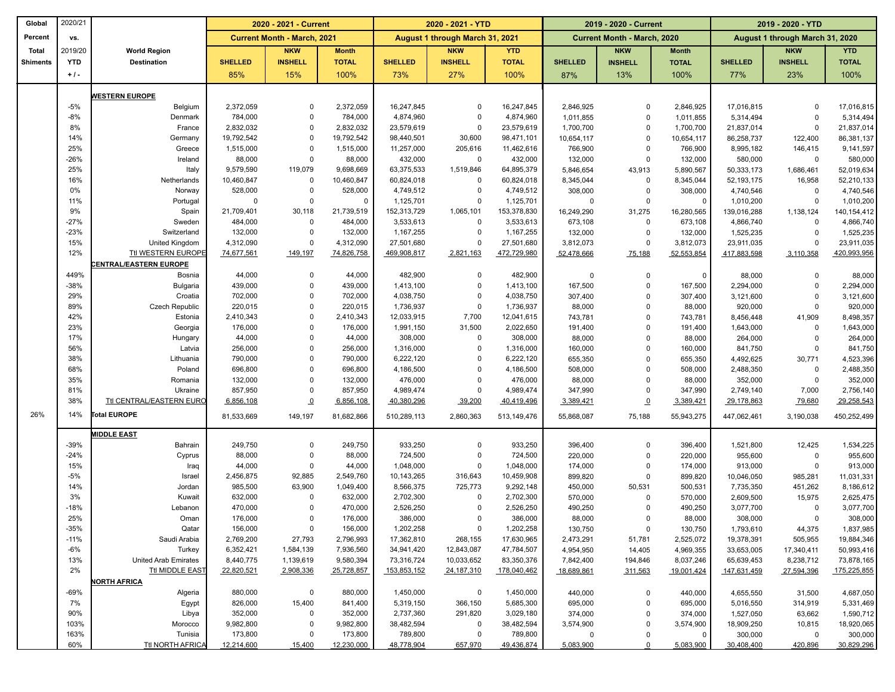| Global          | 2020/21    |                              |                         | 2020 - 2021 - Current              |                     |                          | 2020 - 2021 - YTD               |                        |                    | 2019 - 2020 - Current       |                    |                        | 2019 - 2020 - YTD               |                        |
|-----------------|------------|------------------------------|-------------------------|------------------------------------|---------------------|--------------------------|---------------------------------|------------------------|--------------------|-----------------------------|--------------------|------------------------|---------------------------------|------------------------|
| Percent         | VS.        |                              |                         | <b>Current Month - March, 2021</b> |                     |                          | August 1 through March 31, 2021 |                        |                    | Current Month - March, 2020 |                    |                        | August 1 through March 31, 2020 |                        |
| Total           | 2019/20    | <b>World Region</b>          |                         | <b>NKW</b>                         | <b>Month</b>        |                          | <b>NKW</b>                      | <b>YTD</b>             |                    | <b>NKW</b>                  | <b>Month</b>       |                        | <b>NKW</b>                      | <b>YTD</b>             |
| <b>Shiments</b> | <b>YTD</b> | <b>Destination</b>           | <b>SHELLED</b>          | <b>INSHELL</b>                     | <b>TOTAL</b>        | <b>SHELLED</b>           | <b>INSHELL</b>                  | <b>TOTAL</b>           | <b>SHELLED</b>     | <b>INSHELL</b>              | <b>TOTAL</b>       | <b>SHELLED</b>         | <b>INSHELL</b>                  | <b>TOTAL</b>           |
|                 | $+1$ .     |                              | 85%                     | 15%                                | 100%                | 73%                      | 27%                             | 100%                   | 87%                | 13%                         | 100%               | 77%                    | 23%                             | 100%                   |
|                 |            |                              |                         |                                    |                     |                          |                                 |                        |                    |                             |                    |                        |                                 |                        |
|                 |            | <b>WESTERN EUROPE</b>        |                         |                                    |                     |                          |                                 |                        |                    |                             |                    |                        |                                 |                        |
|                 | $-5%$      | Belgium                      | 2,372,059               | $\mathbf 0$                        | 2,372,059           | 16,247,845               | $\mathbf 0$                     | 16,247,845             | 2,846,925          | $\mathbf 0$                 | 2,846,925          | 17,016,815             | $\Omega$                        | 17,016,815             |
|                 | $-8%$      | Denmark                      | 784,000                 | $\Omega$                           | 784,000             | 4,874,960                | $\mathbf 0$                     | 4,874,960              | 1,011,855          | $\mathsf 0$                 | 1,011,855          | 5,314,494              | $\Omega$                        | 5,314,494              |
|                 | 8%         | France                       | 2,832,032               | $\Omega$<br>$\Omega$               | 2,832,032           | 23,579,619               | $\mathsf 0$                     | 23,579,619             | 1,700,700          | $\mathbf 0$                 | 1,700,700          | 21,837,014             | $\Omega$                        | 21,837,014             |
|                 | 14%<br>25% | Germany<br>Greece            | 19,792,542<br>1,515,000 | $\mathbf 0$                        | 19,792,542          | 98,440,501<br>11,257,000 | 30,600                          | 98,471,101             | 10,654,117         | $\Omega$<br>$\Omega$        | 10,654,117         | 86,258,737             | 122,400                         | 86,381,137             |
|                 | $-26%$     | Ireland                      | 88,000                  | $\mathbf 0$                        | 1,515,000<br>88,000 | 432,000                  | 205,616<br>$\mathsf 0$          | 11,462,616<br>432,000  | 766,900<br>132,000 | $\mathbf 0$                 | 766,900<br>132,000 | 8,995,182<br>580,000   | 146,415<br>$\Omega$             | 9,141,597<br>580,000   |
|                 | 25%        | Italy                        | 9,579,590               | 119,079                            | 9,698,669           | 63,375,533               | 1,519,846                       | 64,895,379             | 5,846,654          | 43,913                      | 5,890,567          | 50,333,173             | 1,686,461                       | 52,019,634             |
|                 | 16%        | Netherlands                  | 10,460,847              | $\mathbf 0$                        | 10,460,847          | 60,824,018               | $\mathbf 0$                     | 60,824,018             | 8,345,044          | $\mathbf 0$                 | 8,345,044          | 52, 193, 175           | 16,958                          | 52,210,133             |
|                 | 0%         | Norway                       | 528,000                 | $\mathbf 0$                        | 528,000             | 4,749,512                | $\mathbf 0$                     | 4,749,512              | 308,000            | $\mathbf 0$                 | 308,000            | 4,740,546              | $\Omega$                        | 4,740,546              |
|                 | 11%        | Portugal                     | $\mathbf 0$             | $\mathbf 0$                        | $\mathbf 0$         | 1,125,701                | $\mathbf 0$                     | 1,125,701              | $\mathbf 0$        | $\mathbf 0$                 | 0                  | 1,010,200              | $\Omega$                        | 1,010,200              |
|                 | 9%         | Spain                        | 21,709,401              | 30,118                             | 21,739,519          | 152,313,729              | 1,065,101                       | 153,378,830            | 16,249,290         | 31,275                      | 16,280,565         | 139,016,288            | 1,138,124                       | 140,154,412            |
|                 | $-27%$     | Sweden                       | 484,000                 | $\mathbf 0$                        | 484,000             | 3,533,613                | $\mathbf 0$                     | 3,533,613              | 673,108            | $\mathbf 0$                 | 673,108            | 4,866,740              | $\Omega$                        | 4,866,740              |
|                 | $-23%$     | Switzerland                  | 132,000                 | $\Omega$                           | 132,000             | 1,167,255                | $\mathbf 0$                     | 1,167,255              | 132,000            | $\mathbf 0$                 | 132,000            | 1,525,235              | $\Omega$                        | 1,525,235              |
|                 | 15%        | United Kingdom               | 4,312,090               | $\Omega$                           | 4,312,090           | 27,501,680               | 0                               | 27,501,680             | 3,812,073          | $\mathbf 0$                 | 3,812,073          | 23,911,035             | $\Omega$                        | 23,911,035             |
|                 | 12%        | <b>Ttl WESTERN EUROPE</b>    | 74,677,561              | 149,197                            | 74,826,758          | 469,908,817              | 2,821,163                       | 472,729,980            | 52,478,666         | 75,188                      | 52,553,854         | 417,883,598            | 3,110,358                       | 420,993,956            |
|                 |            | <b>ENTRAL/EASTERN EUROPE</b> |                         |                                    |                     |                          |                                 |                        |                    |                             |                    |                        |                                 |                        |
|                 | 449%       | Bosnia                       | 44,000                  | $\mathbf 0$                        | 44,000              | 482,900                  | 0                               | 482,900                | 0                  | $\mathbf 0$                 | 0                  | 88,000                 | $\mathbf 0$                     | 88,000                 |
|                 | $-38%$     | <b>Bulgaria</b>              | 439,000                 | $\Omega$                           | 439,000             | 1,413,100                | $\mathsf 0$                     | 1,413,100              | 167,500            | $\mathsf 0$                 | 167,500            | 2,294,000              | $\Omega$                        | 2,294,000              |
|                 | 29%        | Croatia                      | 702,000                 | $\mathbf 0$                        | 702,000             | 4,038,750                | $\mathbf 0$                     | 4,038,750              | 307,400            | $\mathbf 0$                 | 307,400            | 3,121,600              | $\mathbf 0$                     | 3,121,600              |
|                 | 89%        | Czech Republic               | 220,015                 | $\Omega$                           | 220,015             | 1,736,937                | $\mathsf 0$                     | 1,736,937              | 88,000             | $\mathbf 0$                 | 88,000             | 920,000                | $\Omega$                        | 920,000                |
|                 | 42%        | Estonia                      | 2,410,343               | $\mathbf 0$                        | 2,410,343           | 12,033,915               | 7,700                           | 12,041,615             | 743,781            | $\mathbf 0$                 | 743,781            | 8,456,448              | 41,909                          | 8,498,357              |
|                 | 23%        | Georgia                      | 176,000                 | $\Omega$                           | 176,000             | 1,991,150                | 31,500                          | 2,022,650              | 191,400            | $\mathbf 0$                 | 191,400            | 1,643,000              | $\Omega$                        | 1,643,000              |
|                 | 17%        | Hungary                      | 44,000                  | $\Omega$                           | 44,000              | 308,000                  | $\mathbf 0$                     | 308,000                | 88,000             | $\Omega$                    | 88,000             | 264,000                | $\Omega$                        | 264,000                |
|                 | 56%        | Latvia                       | 256,000                 | $\Omega$                           | 256,000             | 1,316,000                | $\mathbf 0$                     | 1,316,000              | 160,000            | $\Omega$                    | 160,000            | 841,750                | $\mathbf 0$                     | 841,750                |
|                 | 38%        | Lithuania                    | 790,000                 | $\Omega$                           | 790,000             | 6,222,120                | $\mathbf 0$                     | 6,222,120              | 655,350            | $\Omega$                    | 655,350            | 4,492,625              | 30,771                          | 4,523,396              |
|                 | 68%        | Poland                       | 696,800                 | $\Omega$                           | 696,800             | 4,186,500                | $\mathbf 0$                     | 4,186,500              | 508,000            | $\mathbf 0$                 | 508,000            | 2,488,350              | $\Omega$                        | 2,488,350              |
|                 | 35%        | Romania                      | 132,000                 | $\Omega$                           | 132,000             | 476,000                  | $\mathbf 0$                     | 476,000                | 88,000             | $\Omega$                    | 88,000             | 352,000                | $\Omega$                        | 352,000                |
|                 | 81%<br>38% | Ukraine                      | 857,950                 | $\mathbf 0$                        | 857,950             | 4,989,474                | $\mathsf 0$                     | 4,989,474              | 347,990            | $\mathbf 0$                 | 347,990            | 2,749,140              | 7,000                           | 2,756,140              |
|                 |            | Ttl CENTRAL/EASTERN EURO     | 6,856,108               | $\overline{0}$                     | 6,856,108           | 40,380,296               | 39,200                          | 40,419,496             | 3,389,421          | $\overline{0}$              | 3,389,421          | 29,178,863             | 79,680                          | 29,258,543             |
| 26%             | 14%        | Total EUROPE                 | 81,533,669              | 149,197                            | 81,682,866          | 510,289,113              | 2,860,363                       | 513,149,476            | 55,868,087         | 75,188                      | 55,943,275         | 447,062,461            | 3,190,038                       | 450,252,499            |
|                 |            | <b>MIDDLE EAST</b>           |                         |                                    |                     |                          |                                 |                        |                    |                             |                    |                        |                                 |                        |
|                 | $-39%$     | Bahrain                      | 249,750                 | $\mathbf 0$                        | 249,750             | 933,250                  | $\mathbf 0$                     | 933,250                | 396,400            | 0                           | 396,400            | 1,521,800              | 12,425                          | 1,534,225              |
|                 | $-24%$     | Cyprus                       | 88,000                  | $\mathbf 0$                        | 88,000              | 724,500                  | $\mathsf 0$                     | 724,500                | 220,000            | $\mathsf 0$                 | 220,000            | 955,600                | $\mathbf 0$                     | 955,600                |
|                 | 15%        | Iraq                         | 44,000                  | $\Omega$                           | 44,000              | 1,048,000                | $\mathsf 0$                     | 1,048,000              | 174,000            | $\mathbf 0$                 | 174,000            | 913,000                | $\Omega$                        | 913,000                |
|                 | $-5%$      | Israel                       | 2,456,875               | 92,885                             | 2,549,760           | 10,143,265               | 316,643                         | 10,459,908             | 899,820            | $\mathbf 0$                 | 899,820            | 10,046,050             | 985,281                         | 11,031,331             |
|                 | 14%        | Jordan                       | 985,500                 | 63,900                             | 1,049,400           | 8,566,375                | 725,773                         | 9,292,148              | 450,000            | 50,531                      | 500,531            | 7,735,350              | 451,262                         | 8,186,612              |
|                 | 3%         | Kuwait                       | 632,000                 | $\mathbf 0$                        | 632,000             | 2,702,300                | $\mathbf 0$                     | 2,702,300              | 570,000            | $\Omega$                    | 570,000            | 2,609,500              | 15,975                          | 2,625,475              |
|                 | $-18%$     | Lebanon                      | 470,000                 | $\Omega$                           | 470,000             | 2,526,250                | $\mathbf 0$                     | 2,526,250              | 490,250            | $\Omega$                    | 490,250            | 3,077,700              | $\Omega$                        | 3,077,700              |
|                 | 25%        | Oman                         | 176,000                 | $\Omega$                           | 176,000             | 386,000                  | 0                               | 386,000                | 88,000             | $\Omega$                    | 88,000             | 308,000                | $\Omega$                        | 308,000                |
|                 | $-35%$     | Qatar                        | 156,000                 | 0                                  | 156,000             | 1,202,258                | 0                               | 1,202,258              | 130,750            | $\mathbf 0$                 | 130,750            | 1,793,610              | 44,375                          | 1,837,985              |
|                 | $-11%$     | Saudi Arabia                 | 2,769,200               | 27,793                             | 2,796,993           | 17,362,810               | 268,155                         | 17,630,965             | 2,473,291          | 51,781                      | 2,525,072          | 19,378,391             | 505,955                         | 19,884,346             |
|                 | $-6%$      | Turkey                       | 6,352,421               | 1,584,139                          | 7,936,560           | 34,941,420               | 12,843,087                      | 47,784,507             | 4,954,950          | 14,405                      | 4,969,355          | 33,653,005             | 17,340,411                      | 50,993,416             |
|                 | 13%        | United Arab Emirates         | 8,440,775               | 1,139,619                          | 9,580,394           | 73,316,724               | 10,033,652                      | 83,350,376             | 7,842,400          | 194,846                     | 8,037,246          | 65,639,453             | 8,238,712                       | 73,878,165             |
|                 | 2%         | Ttl MIDDLE EAST              | 22,820,521              | 2,908,336                          | 25,728,857          | 153,853,152              | 24,187,310                      | 178,040,462            | 18,689,861         | 311,563                     | 19,001,424         | 147,631,459            | 27,594,396                      | 175,225,855            |
|                 | $-69%$     | <b>NORTH AFRICA</b>          |                         |                                    |                     |                          |                                 |                        |                    | 0                           |                    |                        |                                 |                        |
|                 | 7%         | Algeria<br>Egypt             | 880,000<br>826,000      | 0<br>15,400                        | 880,000<br>841,400  | 1,450,000<br>5,319,150   | 0<br>366,150                    | 1,450,000<br>5,685,300 | 440,000<br>695,000 | $\mathbf 0$                 | 440,000<br>695,000 | 4,655,550<br>5,016,550 | 31,500<br>314,919               | 4,687,050<br>5,331,469 |
|                 | 90%        | Libya                        | 352,000                 | 0                                  | 352,000             | 2,737,360                | 291,820                         | 3,029,180              | 374,000            | 0                           | 374,000            | 1,527,050              | 63,662                          | 1,590,712              |
|                 | 103%       | Morocco                      | 9,982,800               | $\mathbf 0$                        | 9,982,800           | 38,482,594               | 0                               | 38,482,594             | 3,574,900          | 0                           | 3,574,900          | 18,909,250             | 10,815                          | 18,920,065             |
|                 | 163%       | Tunisia                      | 173,800                 | $\mathbf 0$                        | 173,800             | 789,800                  | 0                               | 789,800                | 0                  | 0                           | $^{\circ}$         | 300,000                | 0                               | 300,000                |
|                 | 60%        | <b>Ttl NORTH AFRICA</b>      | 12,214,600              | 15,400                             | 12,230,000          | 48,778,904               | 657,970                         | 49,436,874             | 5,083,900          | $\Omega$                    | 5,083,900          | 30,408,400             | 420,896                         | 30,829,296             |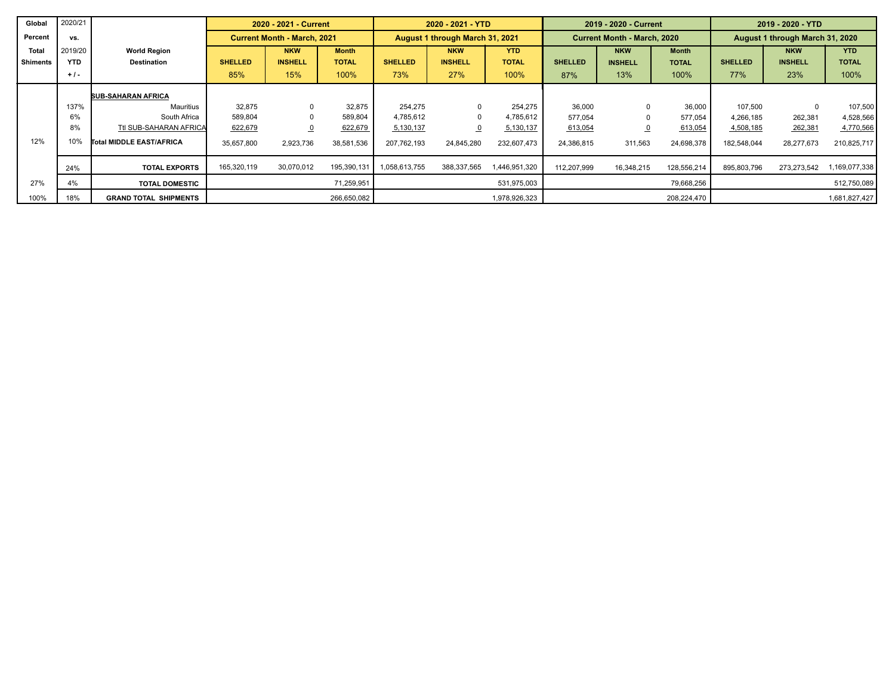| Global          | 2020/21    |                                 |                | 2020 - 2021 - Current              |              |                | 2020 - 2021 - YTD               |               |                | 2019 - 2020 - Current              |              |                                 | 2019 - 2020 - YTD |               |  |
|-----------------|------------|---------------------------------|----------------|------------------------------------|--------------|----------------|---------------------------------|---------------|----------------|------------------------------------|--------------|---------------------------------|-------------------|---------------|--|
| Percent         | vs.        |                                 |                | <b>Current Month - March, 2021</b> |              |                | August 1 through March 31, 2021 |               |                | <b>Current Month - March, 2020</b> |              | August 1 through March 31, 2020 |                   |               |  |
| <b>Total</b>    | 2019/20    | <b>World Region</b>             |                | <b>NKW</b>                         | <b>Month</b> |                | <b>NKW</b>                      | <b>YTD</b>    |                | <b>NKW</b>                         | <b>Month</b> |                                 | <b>NKW</b>        | <b>YTD</b>    |  |
| <b>Shiments</b> | <b>YTD</b> | <b>Destination</b>              | <b>SHELLED</b> | <b>INSHELL</b>                     | <b>TOTAL</b> | <b>SHELLED</b> | <b>INSHELL</b>                  | <b>TOTAL</b>  | <b>SHELLED</b> | <b>INSHELL</b>                     | <b>TOTAL</b> | <b>SHELLED</b>                  | <b>INSHELL</b>    | <b>TOTAL</b>  |  |
|                 | $+1$ .     |                                 | 85%            | 15%                                | 100%         | 73%            | 27%                             | 100%          | 87%            | 13%                                | 100%         | 77%                             | 23%               | 100%          |  |
|                 |            | <b>SUB-SAHARAN AFRICA</b>       |                |                                    |              |                |                                 |               |                |                                    |              |                                 |                   |               |  |
|                 | 137%       | Mauritius                       | 32.875         | $\Omega$                           | 32,875       | 254.275        | $\mathbf{0}$                    | 254,275       | 36,000         | $\Omega$                           | 36,000       | 107,500                         | $\mathbf 0$       | 107,500       |  |
|                 | 6%         | South Africa                    | 589.804        |                                    | 589,804      | 4.785.612      | 0                               | 4,785,612     | 577,054        |                                    | 577,054      | 4,266,185                       | 262,381           | 4,528,566     |  |
|                 | 8%         | Ttl SUB-SAHARAN AFRICA          | 622,679        | $\overline{0}$                     | 622,679      | 5,130,137      | $\overline{0}$                  | 5,130,137     | 613,054        |                                    | 613,054      | 4,508,185                       | 262,381           | 4,770,566     |  |
| 12%             | 10%        | <b>Total MIDDLE EAST/AFRICA</b> | 35,657,800     | 2,923,736                          | 38,581,536   | 207.762.193    | 24,845,280                      | 232,607,473   | 24,386,815     | 311,563                            | 24,698,378   | 182,548,044                     | 28,277,673        | 210,825,717   |  |
|                 | 24%        | <b>TOTAL EXPORTS</b>            | 165,320,119    | 30,070,012                         | 195,390,131  | 1,058,613,755  | 388,337,565                     | 1,446,951,320 | 112.207.999    | 16,348,215                         | 128,556,214  | 895,803,796                     | 273,273,542       | 1,169,077,338 |  |
| 27%             | 4%         | <b>TOTAL DOMESTIC</b>           |                |                                    | 71,259,951   |                |                                 | 531,975,003   |                |                                    | 79,668,256   |                                 |                   | 512,750,089   |  |
| 100%            | 18%        | <b>GRAND TOTAL SHIPMENTS</b>    |                |                                    | 266,650,082  |                |                                 | 1,978,926,323 |                |                                    | 208,224,470  |                                 |                   | 1,681,827,427 |  |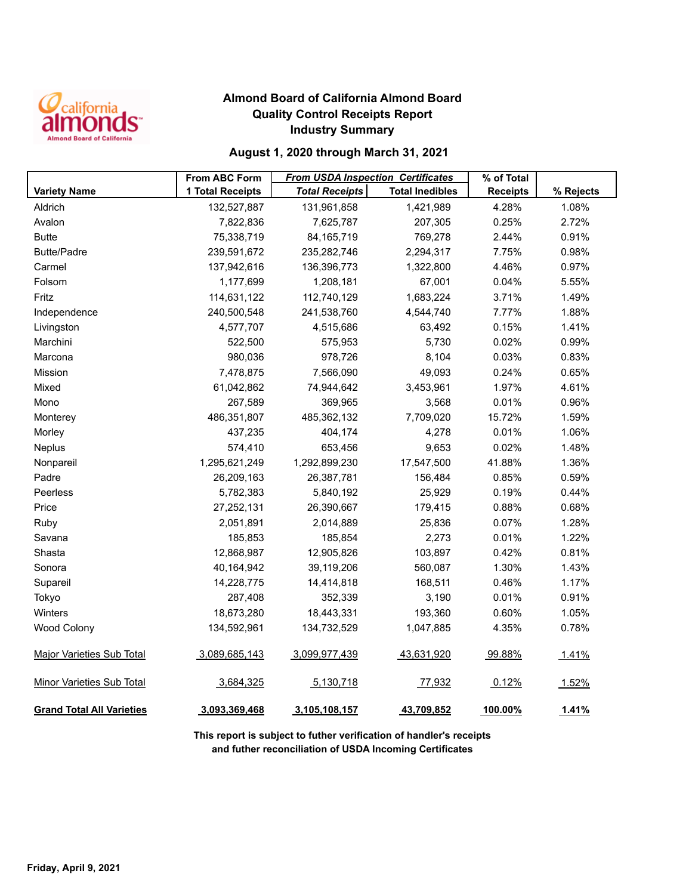

## **Almond Board of California Almond Board Quality Control Receipts Report Industry Summary**

### **August 1, 2020 through March 31, 2021**

|                                  | <b>From ABC Form</b> | <b>From USDA Inspection Certificates</b> |                        | % of Total      |           |
|----------------------------------|----------------------|------------------------------------------|------------------------|-----------------|-----------|
| <b>Variety Name</b>              | 1 Total Receipts     | <b>Total Receipts</b>                    | <b>Total Inedibles</b> | <b>Receipts</b> | % Rejects |
| Aldrich                          | 132,527,887          | 131,961,858                              | 1,421,989              | 4.28%           | 1.08%     |
| Avalon                           | 7,822,836            | 7,625,787                                | 207,305                | 0.25%           | 2.72%     |
| <b>Butte</b>                     | 75,338,719           | 84, 165, 719                             | 769,278                | 2.44%           | 0.91%     |
| <b>Butte/Padre</b>               | 239,591,672          | 235,282,746                              | 2,294,317              | 7.75%           | 0.98%     |
| Carmel                           | 137,942,616          | 136,396,773                              | 1,322,800              | 4.46%           | 0.97%     |
| Folsom                           | 1,177,699            | 1,208,181                                | 67,001                 | 0.04%           | 5.55%     |
| Fritz                            | 114,631,122          | 112,740,129                              | 1,683,224              | 3.71%           | 1.49%     |
| Independence                     | 240,500,548          | 241,538,760                              | 4,544,740              | 7.77%           | 1.88%     |
| Livingston                       | 4,577,707            | 4,515,686                                | 63,492                 | 0.15%           | 1.41%     |
| Marchini                         | 522,500              | 575,953                                  | 5,730                  | 0.02%           | 0.99%     |
| Marcona                          | 980,036              | 978,726                                  | 8,104                  | 0.03%           | 0.83%     |
| Mission                          | 7,478,875            | 7,566,090                                | 49,093                 | 0.24%           | 0.65%     |
| Mixed                            | 61,042,862           | 74,944,642                               | 3,453,961              | 1.97%           | 4.61%     |
| Mono                             | 267,589              | 369,965                                  | 3,568                  | 0.01%           | 0.96%     |
| Monterey                         | 486,351,807          | 485,362,132                              | 7,709,020              | 15.72%          | 1.59%     |
| Morley                           | 437,235              | 404,174                                  | 4,278                  | 0.01%           | 1.06%     |
| Neplus                           | 574,410              | 653,456                                  | 9,653                  | 0.02%           | 1.48%     |
| Nonpareil                        | 1,295,621,249        | 1,292,899,230                            | 17,547,500             | 41.88%          | 1.36%     |
| Padre                            | 26,209,163           | 26,387,781                               | 156,484                | 0.85%           | 0.59%     |
| Peerless                         | 5,782,383            | 5,840,192                                | 25,929                 | 0.19%           | 0.44%     |
| Price                            | 27,252,131           | 26,390,667                               | 179,415                | 0.88%           | 0.68%     |
| Ruby                             | 2,051,891            | 2,014,889                                | 25,836                 | 0.07%           | 1.28%     |
| Savana                           | 185,853              | 185,854                                  | 2,273                  | 0.01%           | 1.22%     |
| Shasta                           | 12,868,987           | 12,905,826                               | 103,897                | 0.42%           | 0.81%     |
| Sonora                           | 40,164,942           | 39,119,206                               | 560,087                | 1.30%           | 1.43%     |
| Supareil                         | 14,228,775           | 14,414,818                               | 168,511                | 0.46%           | 1.17%     |
| Tokyo                            | 287,408              | 352,339                                  | 3,190                  | 0.01%           | 0.91%     |
| Winters                          | 18,673,280           | 18,443,331                               | 193,360                | 0.60%           | 1.05%     |
| Wood Colony                      | 134,592,961          | 134,732,529                              | 1,047,885              | 4.35%           | 0.78%     |
| <b>Major Varieties Sub Total</b> | 3,089,685,143        | 3,099,977,439                            | 43,631,920             | 99.88%          | 1.41%     |
| <b>Minor Varieties Sub Total</b> | 3,684,325            | 5,130,718                                | 77,932                 | 0.12%           | 1.52%     |
| <b>Grand Total All Varieties</b> | 3,093,369,468        | 3,105,108,157                            | 43,709,852             | 100.00%         | 1.41%     |

**This report is subject to futher verification of handler's receipts and futher reconciliation of USDA Incoming Certificates**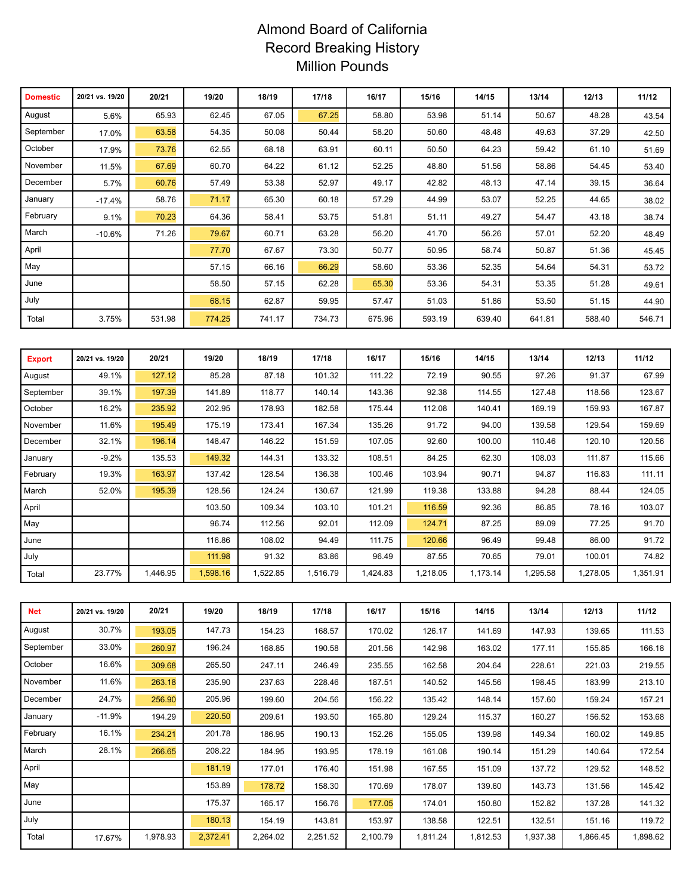# Almond Board of California Record Breaking History Million Pounds

| <b>Domestic</b> | 20/21 vs. 19/20 | 20/21  | 19/20  | 18/19  | 17/18  | 16/17  | 15/16  | 14/15  | 13/14  | 12/13  | 11/12  |
|-----------------|-----------------|--------|--------|--------|--------|--------|--------|--------|--------|--------|--------|
| August          | 5.6%            | 65.93  | 62.45  | 67.05  | 67.25  | 58.80  | 53.98  | 51.14  | 50.67  | 48.28  | 43.54  |
| September       | 17.0%           | 63.58  | 54.35  | 50.08  | 50.44  | 58.20  | 50.60  | 48.48  | 49.63  | 37.29  | 42.50  |
| October         | 17.9%           | 73.76  | 62.55  | 68.18  | 63.91  | 60.11  | 50.50  | 64.23  | 59.42  | 61.10  | 51.69  |
| November        | 11.5%           | 67.69  | 60.70  | 64.22  | 61.12  | 52.25  | 48.80  | 51.56  | 58.86  | 54.45  | 53.40  |
| December        | 5.7%            | 60.76  | 57.49  | 53.38  | 52.97  | 49.17  | 42.82  | 48.13  | 47.14  | 39.15  | 36.64  |
| January         | $-17.4%$        | 58.76  | 71.17  | 65.30  | 60.18  | 57.29  | 44.99  | 53.07  | 52.25  | 44.65  | 38.02  |
| February        | 9.1%            | 70.23  | 64.36  | 58.41  | 53.75  | 51.81  | 51.11  | 49.27  | 54.47  | 43.18  | 38.74  |
| March           | $-10.6%$        | 71.26  | 79.67  | 60.71  | 63.28  | 56.20  | 41.70  | 56.26  | 57.01  | 52.20  | 48.49  |
| April           |                 |        | 77.70  | 67.67  | 73.30  | 50.77  | 50.95  | 58.74  | 50.87  | 51.36  | 45.45  |
| May             |                 |        | 57.15  | 66.16  | 66.29  | 58.60  | 53.36  | 52.35  | 54.64  | 54.31  | 53.72  |
| June            |                 |        | 58.50  | 57.15  | 62.28  | 65.30  | 53.36  | 54.31  | 53.35  | 51.28  | 49.61  |
| July            |                 |        | 68.15  | 62.87  | 59.95  | 57.47  | 51.03  | 51.86  | 53.50  | 51.15  | 44.90  |
| Total           | 3.75%           | 531.98 | 774.25 | 741.17 | 734.73 | 675.96 | 593.19 | 639.40 | 641.81 | 588.40 | 546.71 |

| <b>Export</b> | 20/21 vs. 19/20 | 20/21   | 19/20    | 18/19    | 17/18    | 16/17    | 15/16    | 14/15    | 13/14    | 12/13    | 11/12    |
|---------------|-----------------|---------|----------|----------|----------|----------|----------|----------|----------|----------|----------|
| August        | 49.1%           | 127.12  | 85.28    | 87.18    | 101.32   | 111.22   | 72.19    | 90.55    | 97.26    | 91.37    | 67.99    |
| September     | 39.1%           | 197.39  | 141.89   | 118.77   | 140.14   | 143.36   | 92.38    | 114.55   | 127.48   | 118.56   | 123.67   |
| October       | 16.2%           | 235.92  | 202.95   | 178.93   | 182.58   | 175.44   | 112.08   | 140.41   | 169.19   | 159.93   | 167.87   |
| November      | 11.6%           | 195.49  | 175.19   | 173.41   | 167.34   | 135.26   | 91.72    | 94.00    | 139.58   | 129.54   | 159.69   |
| December      | 32.1%           | 196.14  | 148.47   | 146.22   | 151.59   | 107.05   | 92.60    | 100.00   | 110.46   | 120.10   | 120.56   |
| January       | $-9.2%$         | 135.53  | 149.32   | 144.31   | 133.32   | 108.51   | 84.25    | 62.30    | 108.03   | 111.87   | 115.66   |
| February      | 19.3%           | 163.97  | 137.42   | 128.54   | 136.38   | 100.46   | 103.94   | 90.71    | 94.87    | 116.83   | 111.11   |
| March         | 52.0%           | 195.39  | 128.56   | 124.24   | 130.67   | 121.99   | 119.38   | 133.88   | 94.28    | 88.44    | 124.05   |
| April         |                 |         | 103.50   | 109.34   | 103.10   | 101.21   | 116.59   | 92.36    | 86.85    | 78.16    | 103.07   |
| May           |                 |         | 96.74    | 112.56   | 92.01    | 112.09   | 124.71   | 87.25    | 89.09    | 77.25    | 91.70    |
| June          |                 |         | 116.86   | 108.02   | 94.49    | 111.75   | 120.66   | 96.49    | 99.48    | 86.00    | 91.72    |
| July          |                 |         | 111.98   | 91.32    | 83.86    | 96.49    | 87.55    | 70.65    | 79.01    | 100.01   | 74.82    |
| Total         | 23.77%          | ,446.95 | 1,598.16 | 1,522.85 | 1,516.79 | 1,424.83 | 1,218.05 | 1,173.14 | 1,295.58 | 1,278.05 | 1,351.91 |

| <b>Net</b> | 20/21 vs. 19/20 | 20/21    | 19/20    | 18/19    | 17/18    | 16/17    | 15/16    | 14/15    | 13/14    | 12/13    | 11/12    |
|------------|-----------------|----------|----------|----------|----------|----------|----------|----------|----------|----------|----------|
| August     | 30.7%           | 193.05   | 147.73   | 154.23   | 168.57   | 170.02   | 126.17   | 141.69   | 147.93   | 139.65   | 111.53   |
| September  | 33.0%           | 260.97   | 196.24   | 168.85   | 190.58   | 201.56   | 142.98   | 163.02   | 177.11   | 155.85   | 166.18   |
| October    | 16.6%           | 309.68   | 265.50   | 247.11   | 246.49   | 235.55   | 162.58   | 204.64   | 228.61   | 221.03   | 219.55   |
| November   | 11.6%           | 263.18   | 235.90   | 237.63   | 228.46   | 187.51   | 140.52   | 145.56   | 198.45   | 183.99   | 213.10   |
| December   | 24.7%           | 256.90   | 205.96   | 199.60   | 204.56   | 156.22   | 135.42   | 148.14   | 157.60   | 159.24   | 157.21   |
| January    | $-11.9%$        | 194.29   | 220.50   | 209.61   | 193.50   | 165.80   | 129.24   | 115.37   | 160.27   | 156.52   | 153.68   |
| February   | 16.1%           | 234.21   | 201.78   | 186.95   | 190.13   | 152.26   | 155.05   | 139.98   | 149.34   | 160.02   | 149.85   |
| March      | 28.1%           | 266.65   | 208.22   | 184.95   | 193.95   | 178.19   | 161.08   | 190.14   | 151.29   | 140.64   | 172.54   |
| April      |                 |          | 181.19   | 177.01   | 176.40   | 151.98   | 167.55   | 151.09   | 137.72   | 129.52   | 148.52   |
| May        |                 |          | 153.89   | 178.72   | 158.30   | 170.69   | 178.07   | 139.60   | 143.73   | 131.56   | 145.42   |
| June       |                 |          | 175.37   | 165.17   | 156.76   | 177.05   | 174.01   | 150.80   | 152.82   | 137.28   | 141.32   |
| July       |                 |          | 180.13   | 154.19   | 143.81   | 153.97   | 138.58   | 122.51   | 132.51   | 151.16   | 119.72   |
| Total      | 17.67%          | 1,978.93 | 2,372.41 | 2,264.02 | 2,251.52 | 2,100.79 | 1,811.24 | 1,812.53 | 1,937.38 | 1,866.45 | 1,898.62 |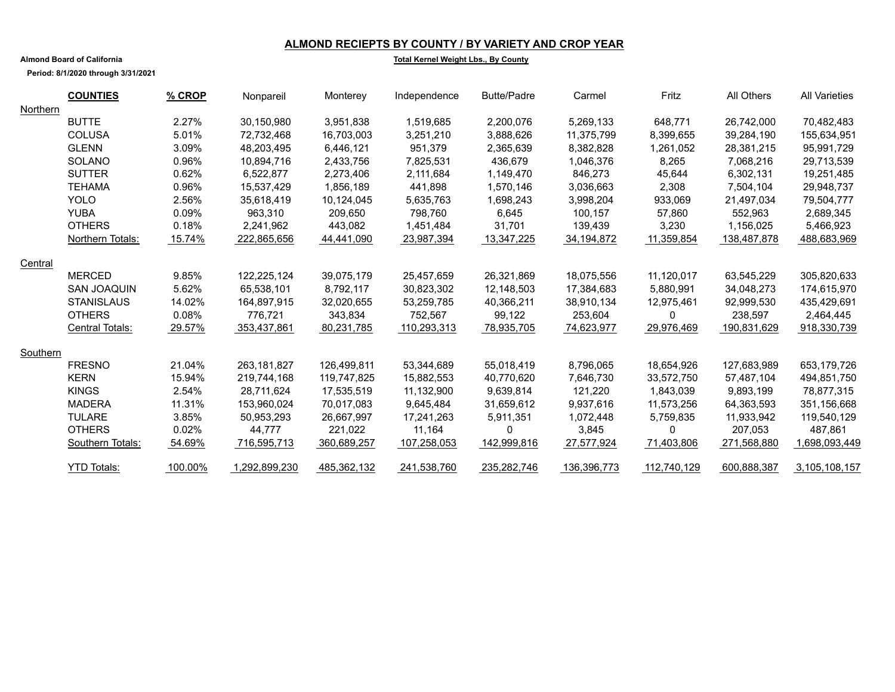### **ALMOND RECIEPTS BY COUNTY / BY VARIETY AND CROP YEAR**

**Total Kernel Weight Lbs., By County**

**Period: 8/1/2020 through 3/31/2021**

**Almond Board of California**

|          | <b>COUNTIES</b>    | % CROP  | Nonpareil     | Monterey    | Independence | <b>Butte/Padre</b> | Carmel      | Fritz       | All Others  | <b>All Varieties</b> |
|----------|--------------------|---------|---------------|-------------|--------------|--------------------|-------------|-------------|-------------|----------------------|
| Northern |                    |         |               |             |              |                    |             |             |             |                      |
|          | <b>BUTTE</b>       | 2.27%   | 30,150,980    | 3,951,838   | 1,519,685    | 2,200,076          | 5,269,133   | 648,771     | 26,742,000  | 70,482,483           |
|          | <b>COLUSA</b>      | 5.01%   | 72,732,468    | 16,703,003  | 3,251,210    | 3,888,626          | 11,375,799  | 8,399,655   | 39,284,190  | 155,634,951          |
|          | <b>GLENN</b>       | 3.09%   | 48,203,495    | 6,446,121   | 951,379      | 2,365,639          | 8,382,828   | 1,261,052   | 28,381,215  | 95,991,729           |
|          | <b>SOLANO</b>      | 0.96%   | 10,894,716    | 2,433,756   | 7,825,531    | 436,679            | 1,046,376   | 8,265       | 7,068,216   | 29,713,539           |
|          | <b>SUTTER</b>      | 0.62%   | 6,522,877     | 2,273,406   | 2,111,684    | 1,149,470          | 846,273     | 45,644      | 6,302,131   | 19,251,485           |
|          | <b>TEHAMA</b>      | 0.96%   | 15,537,429    | 1,856,189   | 441,898      | 1,570,146          | 3,036,663   | 2,308       | 7,504,104   | 29,948,737           |
|          | <b>YOLO</b>        | 2.56%   | 35,618,419    | 10,124,045  | 5,635,763    | 1,698,243          | 3,998,204   | 933,069     | 21,497,034  | 79,504,777           |
|          | <b>YUBA</b>        | 0.09%   | 963,310       | 209,650     | 798,760      | 6,645              | 100,157     | 57,860      | 552,963     | 2,689,345            |
|          | <b>OTHERS</b>      | 0.18%   | 2,241,962     | 443,082     | 1,451,484    | 31,701             | 139,439     | 3,230       | 1,156,025   | 5,466,923            |
|          | Northern Totals:   | 15.74%  | 222,865,656   | 44,441,090  | 23,987,394   | 13,347,225         | 34,194,872  | 11,359,854  | 138,487,878 | 488,683,969          |
| Central  |                    |         |               |             |              |                    |             |             |             |                      |
|          | <b>MERCED</b>      | 9.85%   | 122,225,124   | 39,075,179  | 25,457,659   | 26,321,869         | 18,075,556  | 11,120,017  | 63,545,229  | 305,820,633          |
|          | <b>SAN JOAQUIN</b> | 5.62%   | 65,538,101    | 8,792,117   | 30,823,302   | 12,148,503         | 17,384,683  | 5,880,991   | 34,048,273  | 174,615,970          |
|          | <b>STANISLAUS</b>  | 14.02%  | 164,897,915   | 32,020,655  | 53,259,785   | 40,366,211         | 38,910,134  | 12,975,461  | 92,999,530  | 435,429,691          |
|          | <b>OTHERS</b>      | 0.08%   | 776.721       | 343,834     | 752,567      | 99,122             | 253,604     | 0           | 238,597     | 2,464,445            |
|          | Central Totals:    | 29.57%  | 353,437,861   | 80,231,785  | 110,293,313  | 78,935,705         | 74,623,977  | 29,976,469  | 190,831,629 | 918,330,739          |
| Southern |                    |         |               |             |              |                    |             |             |             |                      |
|          | <b>FRESNO</b>      | 21.04%  | 263, 181, 827 | 126,499,811 | 53,344,689   | 55,018,419         | 8,796,065   | 18,654,926  | 127,683,989 | 653,179,726          |
|          | <b>KERN</b>        | 15.94%  | 219,744,168   | 119,747,825 | 15,882,553   | 40,770,620         | 7,646,730   | 33.572.750  | 57,487,104  | 494,851,750          |
|          | <b>KINGS</b>       | 2.54%   | 28.711.624    | 17,535,519  | 11,132,900   | 9,639,814          | 121.220     | 1,843,039   | 9,893,199   | 78,877,315           |
|          | <b>MADERA</b>      | 11.31%  | 153,960,024   | 70,017,083  | 9,645,484    | 31,659,612         | 9,937,616   | 11,573,256  | 64,363,593  | 351,156,668          |
|          | <b>TULARE</b>      | 3.85%   | 50,953,293    | 26,667,997  | 17,241,263   | 5,911,351          | 1,072,448   | 5,759,835   | 11,933,942  | 119,540,129          |
|          | <b>OTHERS</b>      | 0.02%   | 44,777        | 221,022     | 11.164       | 0                  | 3,845       | $\Omega$    | 207,053     | 487.861              |
|          | Southern Totals:   | 54.69%  | 716,595,713   | 360,689,257 | 107,258,053  | 142,999,816        | 27,577,924  | 71,403,806  | 271,568,880 | 1,698,093,449        |
|          | <b>YTD Totals:</b> | 100.00% | 1,292,899,230 | 485,362,132 | 241,538,760  | 235,282,746        | 136,396,773 | 112,740,129 | 600,888,387 | 3,105,108,157        |